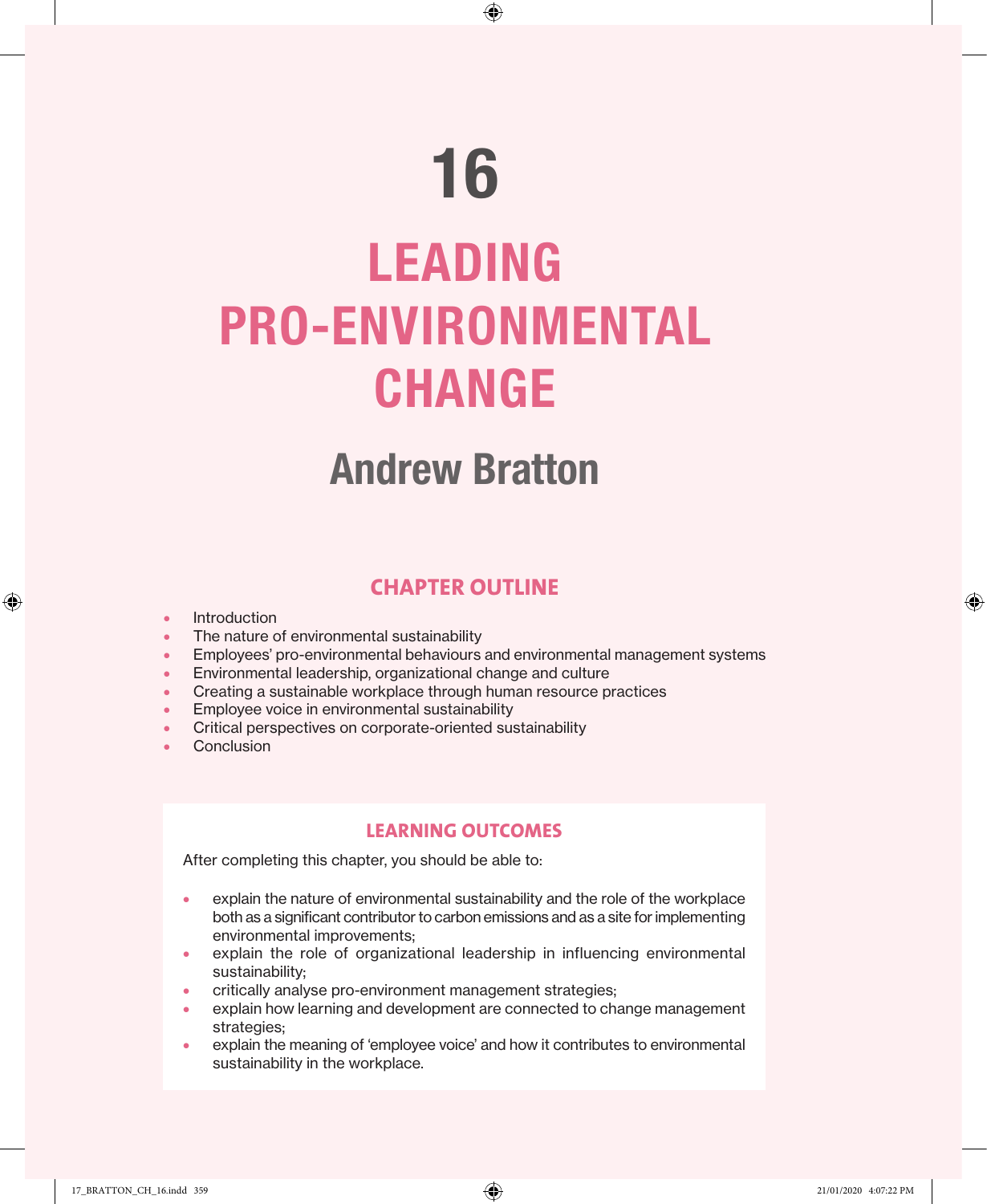⊕

## Andrew Bratton

## **CHAPTER OUTLINE**

**Introduction** 

♠

- The nature of environmental sustainability
- Employees' pro-environmental behaviours and environmental management systems
- Environmental leadership, organizational change and culture
- Creating a sustainable workplace through human resource practices
- Employee voice in environmental sustainability
- Critical perspectives on corporate-oriented sustainability
- Conclusion

## **LEARNING OUTCOMES**

After completing this chapter, you should be able to:

- explain the nature of environmental sustainability and the role of the workplace both as a significant contributor to carbon emissions and as a site for implementing environmental improvements;
- explain the role of organizational leadership in influencing environmental sustainability;
- critically analyse pro-environment management strategies;
- explain how learning and development are connected to change management strategies;
- explain the meaning of 'employee voice' and how it contributes to environmental sustainability in the workplace.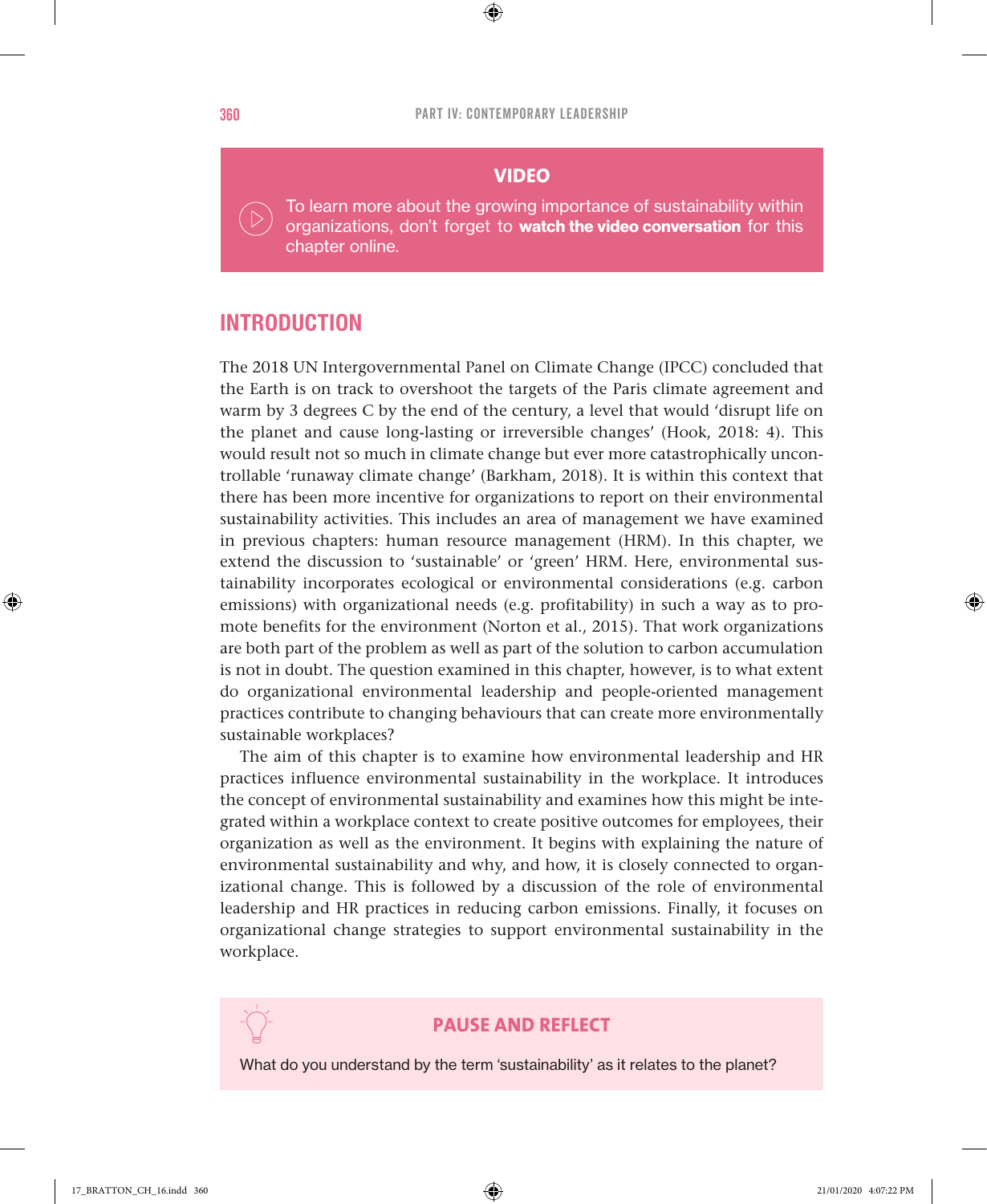$\bigoplus$ 

#### **VIDEO**

To learn more about the growing importance of sustainability within organizations, don't forget to **watch the video conversation** for this chapter online.

## INTRODUCTION

The 2018 UN Intergovernmental Panel on Climate Change (IPCC) concluded that the Earth is on track to overshoot the targets of the Paris climate agreement and warm by 3 degrees C by the end of the century, a level that would 'disrupt life on the planet and cause long-lasting or irreversible changes' (Hook, 2018: 4). This would result not so much in climate change but ever more catastrophically uncontrollable 'runaway climate change' (Barkham, 2018). It is within this context that there has been more incentive for organizations to report on their environmental sustainability activities. This includes an area of management we have examined in previous chapters: human resource management (HRM). In this chapter, we extend the discussion to 'sustainable' or 'green' HRM. Here, environmental sustainability incorporates ecological or environmental considerations (e.g. carbon emissions) with organizational needs (e.g. profitability) in such a way as to promote benefits for the environment (Norton et al., 2015). That work organizations are both part of the problem as well as part of the solution to carbon accumulation is not in doubt. The question examined in this chapter, however, is to what extent do organizational environmental leadership and people-oriented management practices contribute to changing behaviours that can create more environmentally sustainable workplaces?

The aim of this chapter is to examine how environmental leadership and HR practices influence environmental sustainability in the workplace. It introduces the concept of environmental sustainability and examines how this might be integrated within a workplace context to create positive outcomes for employees, their organization as well as the environment. It begins with explaining the nature of environmental sustainability and why, and how, it is closely connected to organizational change. This is followed by a discussion of the role of environmental leadership and HR practices in reducing carbon emissions. Finally, it focuses on organizational change strategies to support environmental sustainability in the workplace.



#### **PAUSE AND REFLECT**

What do you understand by the term 'sustainability' as it relates to the planet?

♠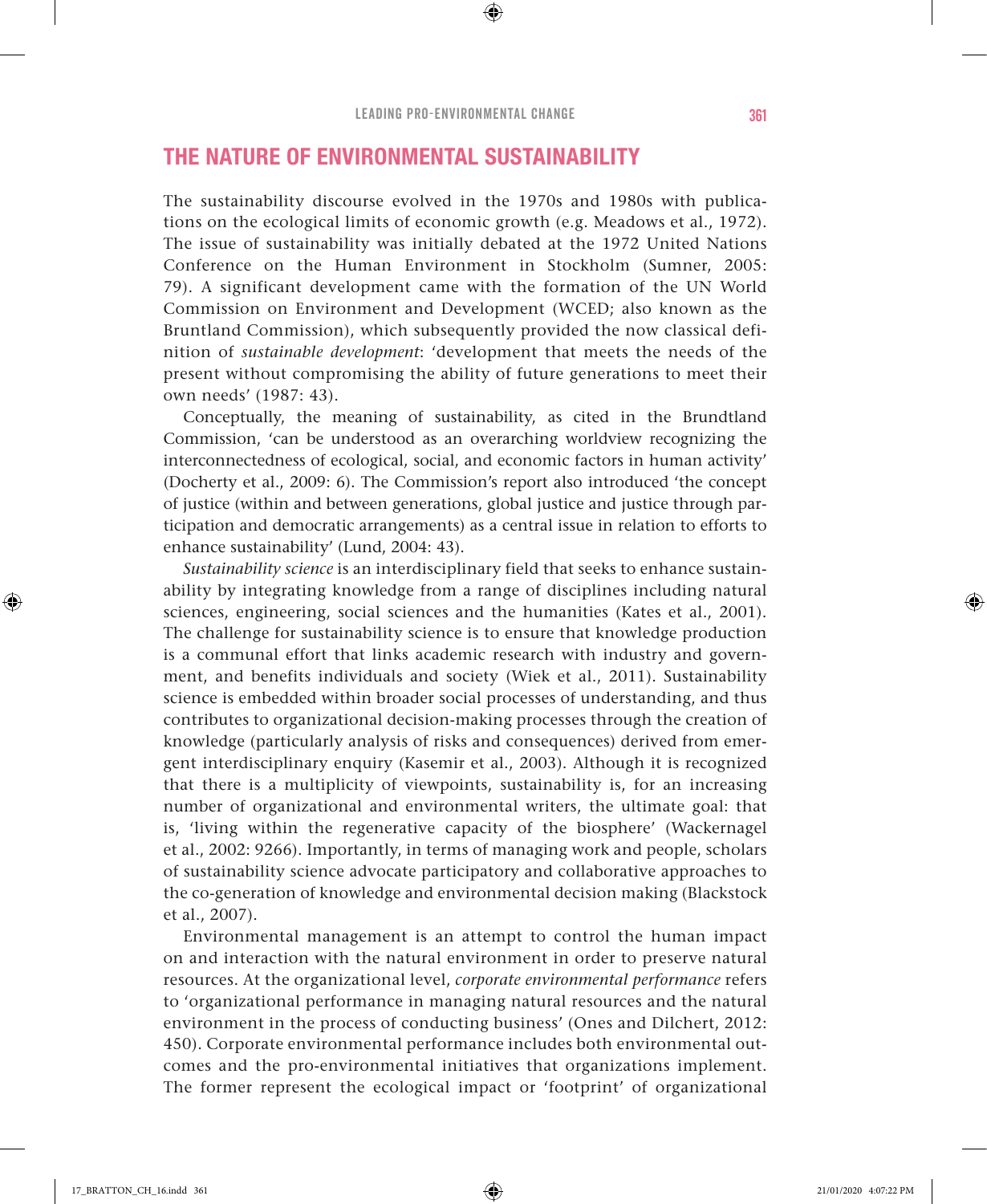## THE NATURE OF ENVIRONMENTAL SUSTAINABILITY

The sustainability discourse evolved in the 1970s and 1980s with publications on the ecological limits of economic growth (e.g. Meadows et al., 1972). The issue of sustainability was initially debated at the 1972 United Nations Conference on the Human Environment in Stockholm (Sumner, 2005: 79). A significant development came with the formation of the UN World Commission on Environment and Development (WCED; also known as the Bruntland Commission), which subsequently provided the now classical definition of *sustainable development*: 'development that meets the needs of the present without compromising the ability of future generations to meet their own needs' (1987: 43).

Conceptually, the meaning of sustainability, as cited in the Brundtland Commission, 'can be understood as an overarching worldview recognizing the interconnectedness of ecological, social, and economic factors in human activity' (Docherty et al., 2009: 6). The Commission's report also introduced 'the concept of justice (within and between generations, global justice and justice through participation and democratic arrangements) as a central issue in relation to efforts to enhance sustainability' (Lund, 2004: 43).

*Sustainability science* is an interdisciplinary field that seeks to enhance sustainability by integrating knowledge from a range of disciplines including natural sciences, engineering, social sciences and the humanities (Kates et al., 2001). The challenge for sustainability science is to ensure that knowledge production is a communal effort that links academic research with industry and government, and benefits individuals and society (Wiek et al., 2011). Sustainability science is embedded within broader social processes of understanding, and thus contributes to organizational decision-making processes through the creation of knowledge (particularly analysis of risks and consequences) derived from emergent interdisciplinary enquiry (Kasemir et al., 2003). Although it is recognized that there is a multiplicity of viewpoints, sustainability is, for an increasing number of organizational and environmental writers, the ultimate goal: that is, 'living within the regenerative capacity of the biosphere' (Wackernagel et al., 2002: 9266). Importantly, in terms of managing work and people, scholars of sustainability science advocate participatory and collaborative approaches to the co-generation of knowledge and environmental decision making (Blackstock et al., 2007).

Environmental management is an attempt to control the human impact on and interaction with the natural environment in order to preserve natural resources. At the organizational level, *corporate environmental performance* refers to 'organizational performance in managing natural resources and the natural environment in the process of conducting business' (Ones and Dilchert, 2012: 450). Corporate environmental performance includes both environmental outcomes and the pro-environmental initiatives that organizations implement. The former represent the ecological impact or 'footprint' of organizational

♠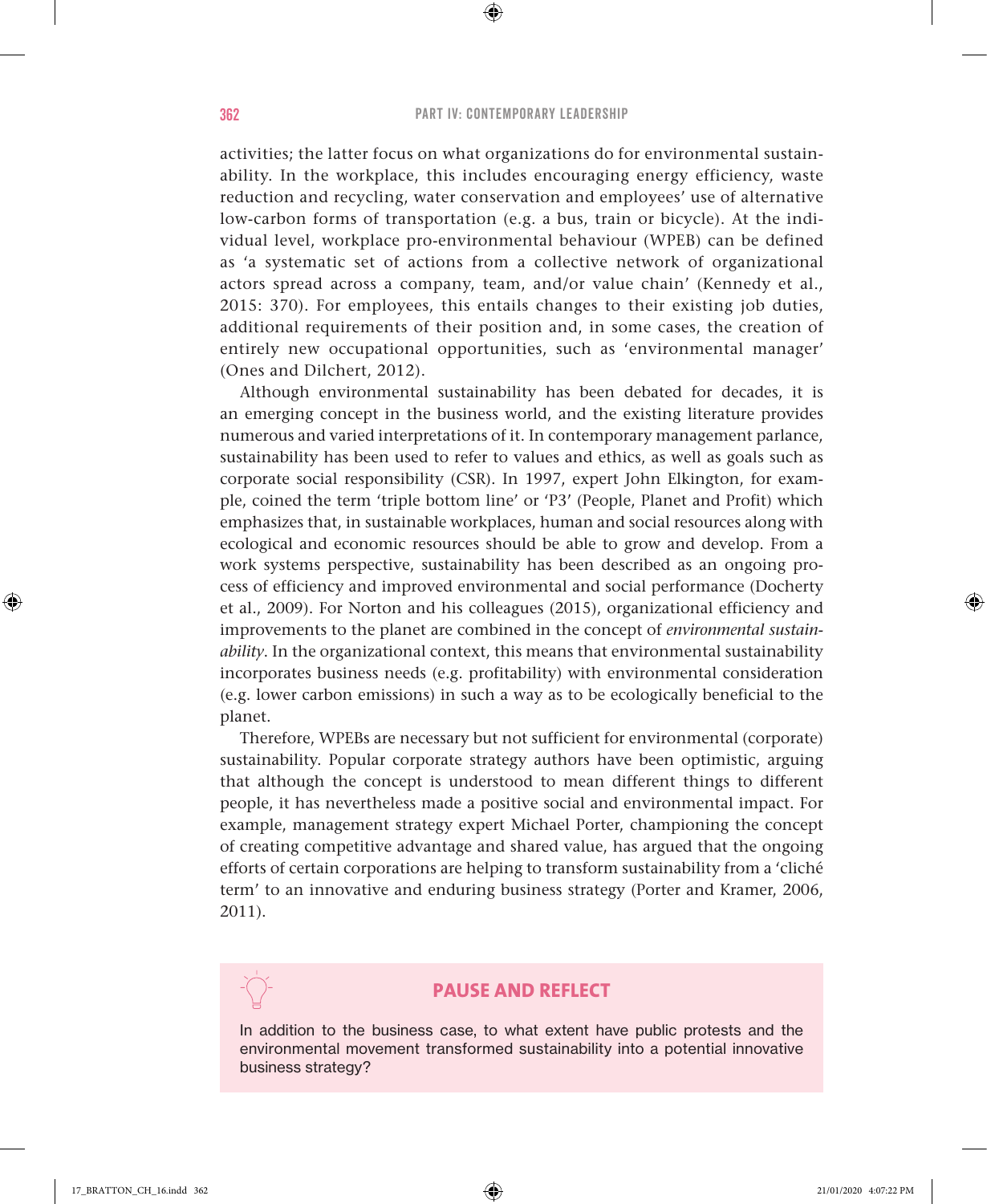$\bigoplus$ 

activities; the latter focus on what organizations do for environmental sustainability. In the workplace, this includes encouraging energy efficiency, waste reduction and recycling, water conservation and employees' use of alternative low-carbon forms of transportation (e.g. a bus, train or bicycle). At the individual level, workplace pro-environmental behaviour (WPEB) can be defined as 'a systematic set of actions from a collective network of organizational actors spread across a company, team, and/or value chain' (Kennedy et al., 2015: 370). For employees, this entails changes to their existing job duties, additional requirements of their position and, in some cases, the creation of entirely new occupational opportunities, such as 'environmental manager' (Ones and Dilchert, 2012).

Although environmental sustainability has been debated for decades, it is an emerging concept in the business world, and the existing literature provides numerous and varied interpretations of it. In contemporary management parlance, sustainability has been used to refer to values and ethics, as well as goals such as corporate social responsibility (CSR). In 1997, expert John Elkington, for example, coined the term 'triple bottom line' or 'P3' (People, Planet and Profit) which emphasizes that, in sustainable workplaces, human and social resources along with ecological and economic resources should be able to grow and develop. From a work systems perspective, sustainability has been described as an ongoing process of efficiency and improved environmental and social performance (Docherty et al., 2009). For Norton and his colleagues (2015), organizational efficiency and improvements to the planet are combined in the concept of *environmental sustainability*. In the organizational context, this means that environmental sustainability incorporates business needs (e.g. profitability) with environmental consideration (e.g. lower carbon emissions) in such a way as to be ecologically beneficial to the planet.

Therefore, WPEBs are necessary but not sufficient for environmental (corporate) sustainability. Popular corporate strategy authors have been optimistic, arguing that although the concept is understood to mean different things to different people, it has nevertheless made a positive social and environmental impact. For example, management strategy expert Michael Porter, championing the concept of creating competitive advantage and shared value, has argued that the ongoing efforts of certain corporations are helping to transform sustainability from a 'cliché term' to an innovative and enduring business strategy (Porter and Kramer, 2006, 2011).

## **PAUSE AND REFLECT**

In addition to the business case, to what extent have public protests and the environmental movement transformed sustainability into a potential innovative business strategy?

♠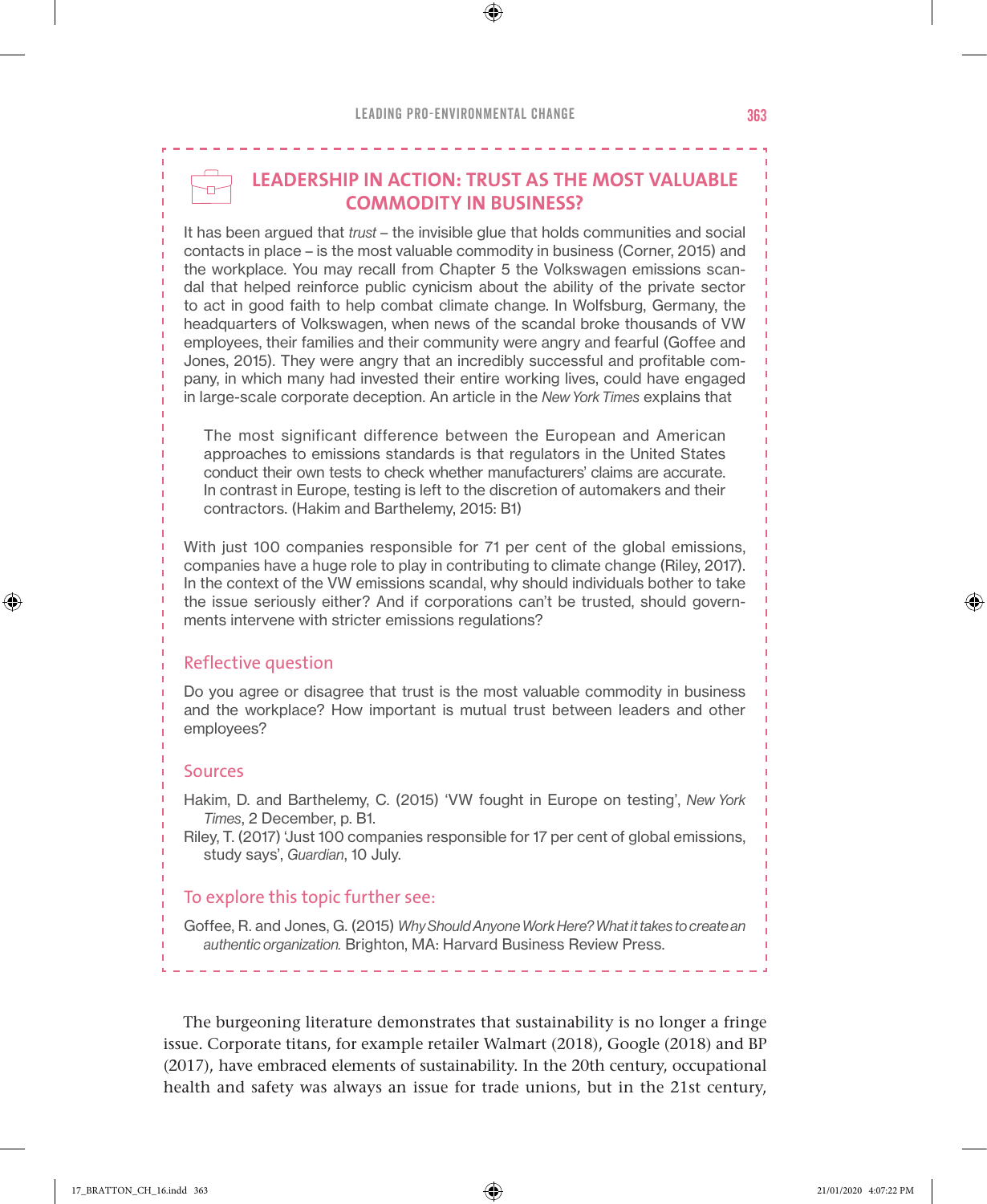## **LEADERSHIP IN ACTION: TRUST AS THE MOST VALUABLE COMMODITY IN BUSINESS?**

⊕

It has been argued that *trust* – the invisible glue that holds communities and social contacts in place – is the most valuable commodity in business (Corner, 2015) and the workplace. You may recall from Chapter 5 the Volkswagen emissions scandal that helped reinforce public cynicism about the ability of the private sector to act in good faith to help combat climate change. In Wolfsburg, Germany, the headquarters of Volkswagen, when news of the scandal broke thousands of VW employees, their families and their community were angry and fearful (Goffee and Jones, 2015). They were angry that an incredibly successful and profitable company, in which many had invested their entire working lives, could have engaged in large-scale corporate deception. An article in the *New York Times* explains that

The most significant difference between the European and American approaches to emissions standards is that regulators in the United States conduct their own tests to check whether manufacturers' claims are accurate. In contrast in Europe, testing is left to the discretion of automakers and their contractors. (Hakim and Barthelemy, 2015: B1)

With just 100 companies responsible for 71 per cent of the global emissions, companies have a huge role to play in contributing to climate change (Riley, 2017). In the context of the VW emissions scandal, why should individuals bother to take the issue seriously either? And if corporations can't be trusted, should governments intervene with stricter emissions regulations?

#### Reflective question

Do you agree or disagree that trust is the most valuable commodity in business and the workplace? How important is mutual trust between leaders and other employees?

#### Sources

♠

Hakim, D. and Barthelemy, C. (2015) 'VW fought in Europe on testing', *New York Times*, 2 December, p. B1.

Riley, T. (2017) 'Just 100 companies responsible for 17 per cent of global emissions, study says', *Guardian*, 10 July.

#### To explore this topic further see:

Goffee, R. and Jones, G. (2015) *Why Should Anyone Work Here? What it takes to create an authentic organization.* Brighton, MA: Harvard Business Review Press.

The burgeoning literature demonstrates that sustainability is no longer a fringe issue. Corporate titans, for example retailer Walmart (2018), Google (2018) and BP (2017), have embraced elements of sustainability. In the 20th century, occupational health and safety was always an issue for trade unions, but in the 21st century,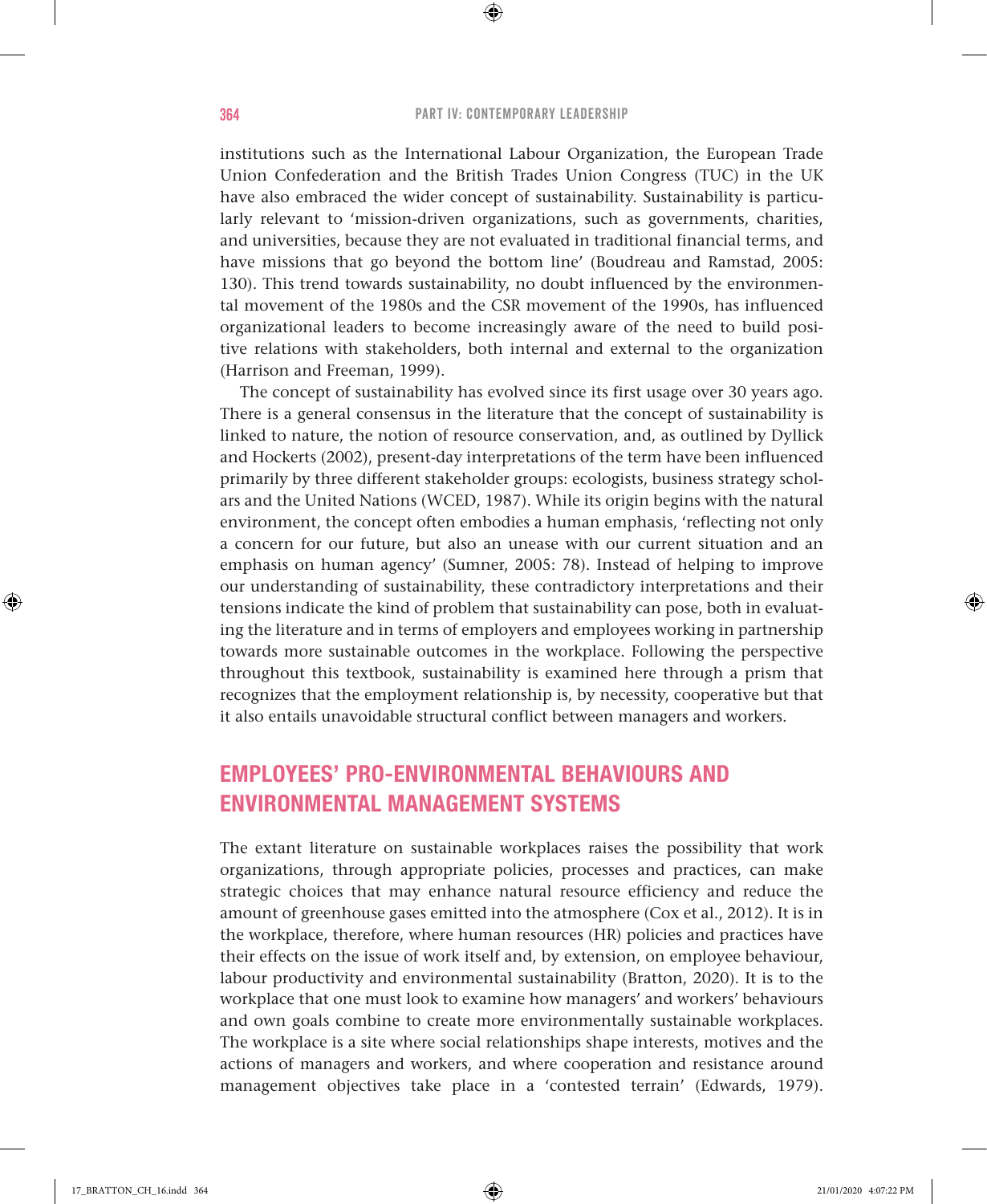⊕

institutions such as the International Labour Organization, the European Trade Union Confederation and the British Trades Union Congress (TUC) in the UK have also embraced the wider concept of sustainability. Sustainability is particularly relevant to 'mission-driven organizations, such as governments, charities, and universities, because they are not evaluated in traditional financial terms, and have missions that go beyond the bottom line' (Boudreau and Ramstad, 2005: 130). This trend towards sustainability, no doubt influenced by the environmental movement of the 1980s and the CSR movement of the 1990s, has influenced organizational leaders to become increasingly aware of the need to build positive relations with stakeholders, both internal and external to the organization (Harrison and Freeman, 1999).

The concept of sustainability has evolved since its first usage over 30 years ago. There is a general consensus in the literature that the concept of sustainability is linked to nature, the notion of resource conservation, and, as outlined by Dyllick and Hockerts (2002), present-day interpretations of the term have been influenced primarily by three different stakeholder groups: ecologists, business strategy scholars and the United Nations (WCED, 1987). While its origin begins with the natural environment, the concept often embodies a human emphasis, 'reflecting not only a concern for our future, but also an unease with our current situation and an emphasis on human agency' (Sumner, 2005: 78). Instead of helping to improve our understanding of sustainability, these contradictory interpretations and their tensions indicate the kind of problem that sustainability can pose, both in evaluating the literature and in terms of employers and employees working in partnership towards more sustainable outcomes in the workplace. Following the perspective throughout this textbook, sustainability is examined here through a prism that recognizes that the employment relationship is, by necessity, cooperative but that it also entails unavoidable structural conflict between managers and workers.

## EMPLOYEES' PRO-ENVIRONMENTAL BEHAVIOURS AND ENVIRONMENTAL MANAGEMENT SYSTEMS

The extant literature on sustainable workplaces raises the possibility that work organizations, through appropriate policies, processes and practices, can make strategic choices that may enhance natural resource efficiency and reduce the amount of greenhouse gases emitted into the atmosphere (Cox et al., 2012). It is in the workplace, therefore, where human resources (HR) policies and practices have their effects on the issue of work itself and, by extension, on employee behaviour, labour productivity and environmental sustainability (Bratton, 2020). It is to the workplace that one must look to examine how managers' and workers' behaviours and own goals combine to create more environmentally sustainable workplaces. The workplace is a site where social relationships shape interests, motives and the actions of managers and workers, and where cooperation and resistance around management objectives take place in a 'contested terrain' (Edwards, 1979).

♠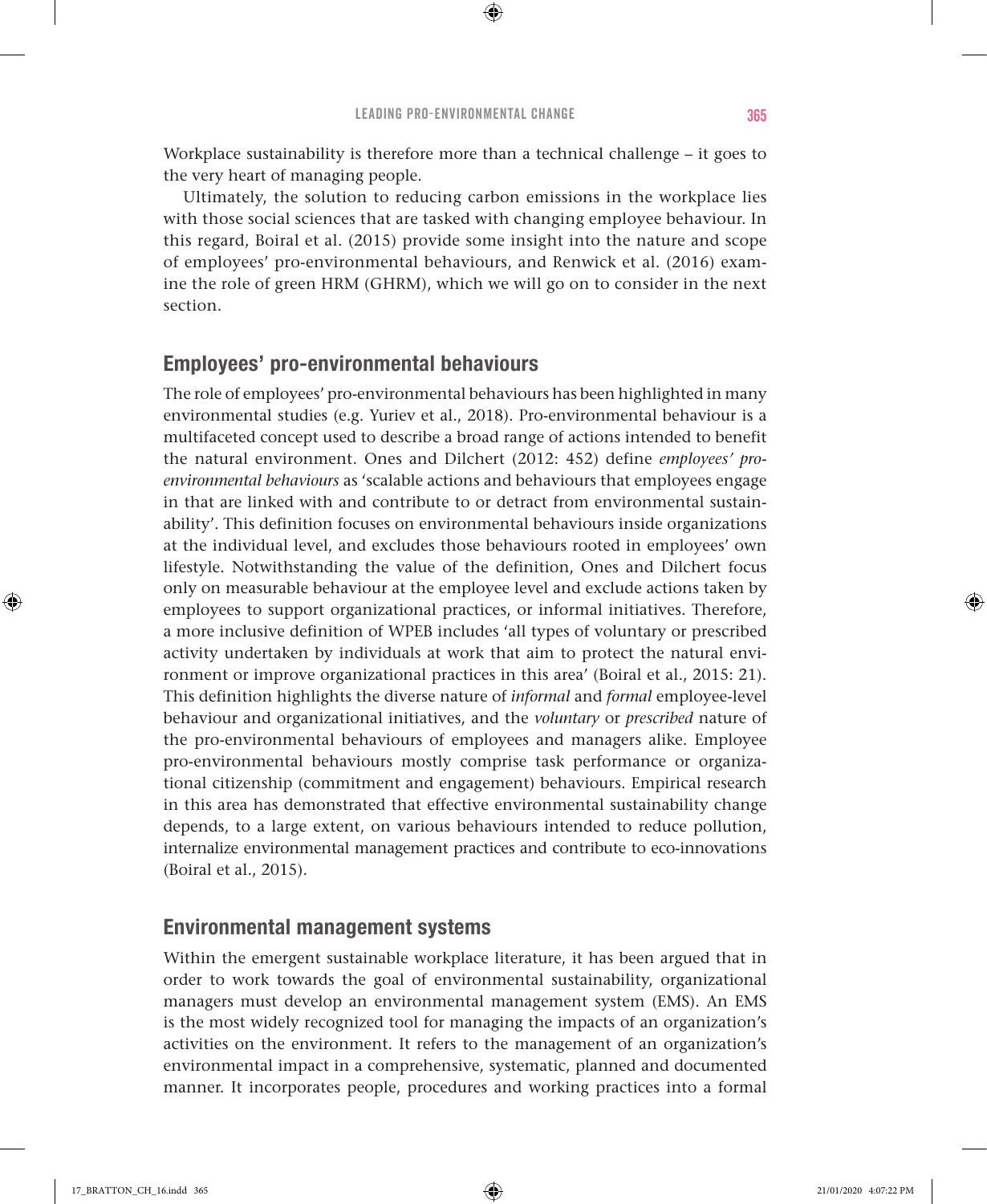Workplace sustainability is therefore more than a technical challenge – it goes to the very heart of managing people.

⊕

Ultimately, the solution to reducing carbon emissions in the workplace lies with those social sciences that are tasked with changing employee behaviour. In this regard, Boiral et al. (2015) provide some insight into the nature and scope of employees' pro-environmental behaviours, and Renwick et al. (2016) examine the role of green HRM (GHRM), which we will go on to consider in the next section.

## Employees' pro-environmental behaviours

The role of employees' pro-environmental behaviours has been highlighted in many environmental studies (e.g. Yuriev et al., 2018). Pro-environmental behaviour is a multifaceted concept used to describe a broad range of actions intended to benefit the natural environment. Ones and Dilchert (2012: 452) define *employees' proenvironmental behaviours* as 'scalable actions and behaviours that employees engage in that are linked with and contribute to or detract from environmental sustainability'. This definition focuses on environmental behaviours inside organizations at the individual level, and excludes those behaviours rooted in employees' own lifestyle. Notwithstanding the value of the definition, Ones and Dilchert focus only on measurable behaviour at the employee level and exclude actions taken by employees to support organizational practices, or informal initiatives. Therefore, a more inclusive definition of WPEB includes 'all types of voluntary or prescribed activity undertaken by individuals at work that aim to protect the natural environment or improve organizational practices in this area' (Boiral et al., 2015: 21). This definition highlights the diverse nature of *informal* and *formal* employee-level behaviour and organizational initiatives, and the *voluntary* or *prescribed* nature of the pro-environmental behaviours of employees and managers alike. Employee pro-environmental behaviours mostly comprise task performance or organizational citizenship (commitment and engagement) behaviours. Empirical research in this area has demonstrated that effective environmental sustainability change depends, to a large extent, on various behaviours intended to reduce pollution, internalize environmental management practices and contribute to eco-innovations (Boiral et al., 2015).

#### Environmental management systems

Within the emergent sustainable workplace literature, it has been argued that in order to work towards the goal of environmental sustainability, organizational managers must develop an environmental management system (EMS). An EMS is the most widely recognized tool for managing the impacts of an organization's activities on the environment. It refers to the management of an organization's environmental impact in a comprehensive, systematic, planned and documented manner. It incorporates people, procedures and working practices into a formal

♠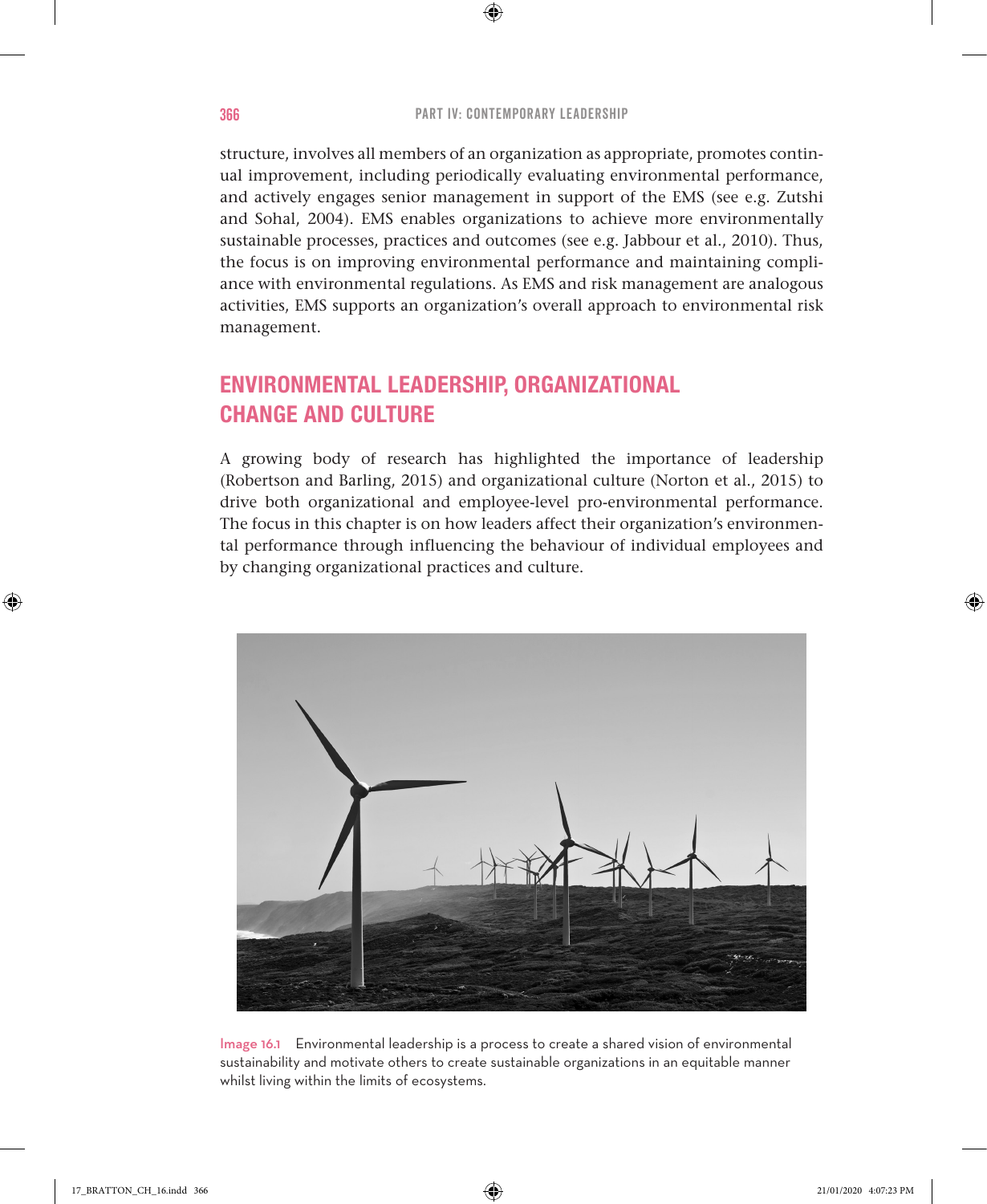⊕

structure, involves all members of an organization as appropriate, promotes continual improvement, including periodically evaluating environmental performance, and actively engages senior management in support of the EMS (see e.g. Zutshi and Sohal, 2004). EMS enables organizations to achieve more environmentally sustainable processes, practices and outcomes (see e.g. Jabbour et al., 2010). Thus, the focus is on improving environmental performance and maintaining compliance with environmental regulations. As EMS and risk management are analogous activities, EMS supports an organization's overall approach to environmental risk management.

## ENVIRONMENTAL LEADERSHIP, ORGANIZATIONAL CHANGE AND CULTURE

A growing body of research has highlighted the importance of leadership (Robertson and Barling, 2015) and organizational culture (Norton et al., 2015) to drive both organizational and employee-level pro-environmental performance. The focus in this chapter is on how leaders affect their organization's environmental performance through influencing the behaviour of individual employees and by changing organizational practices and culture.



Image 16.1 Environmental leadership is a process to create a shared vision of environmental sustainability and motivate others to create sustainable organizations in an equitable manner whilst living within the limits of ecosystems.

♠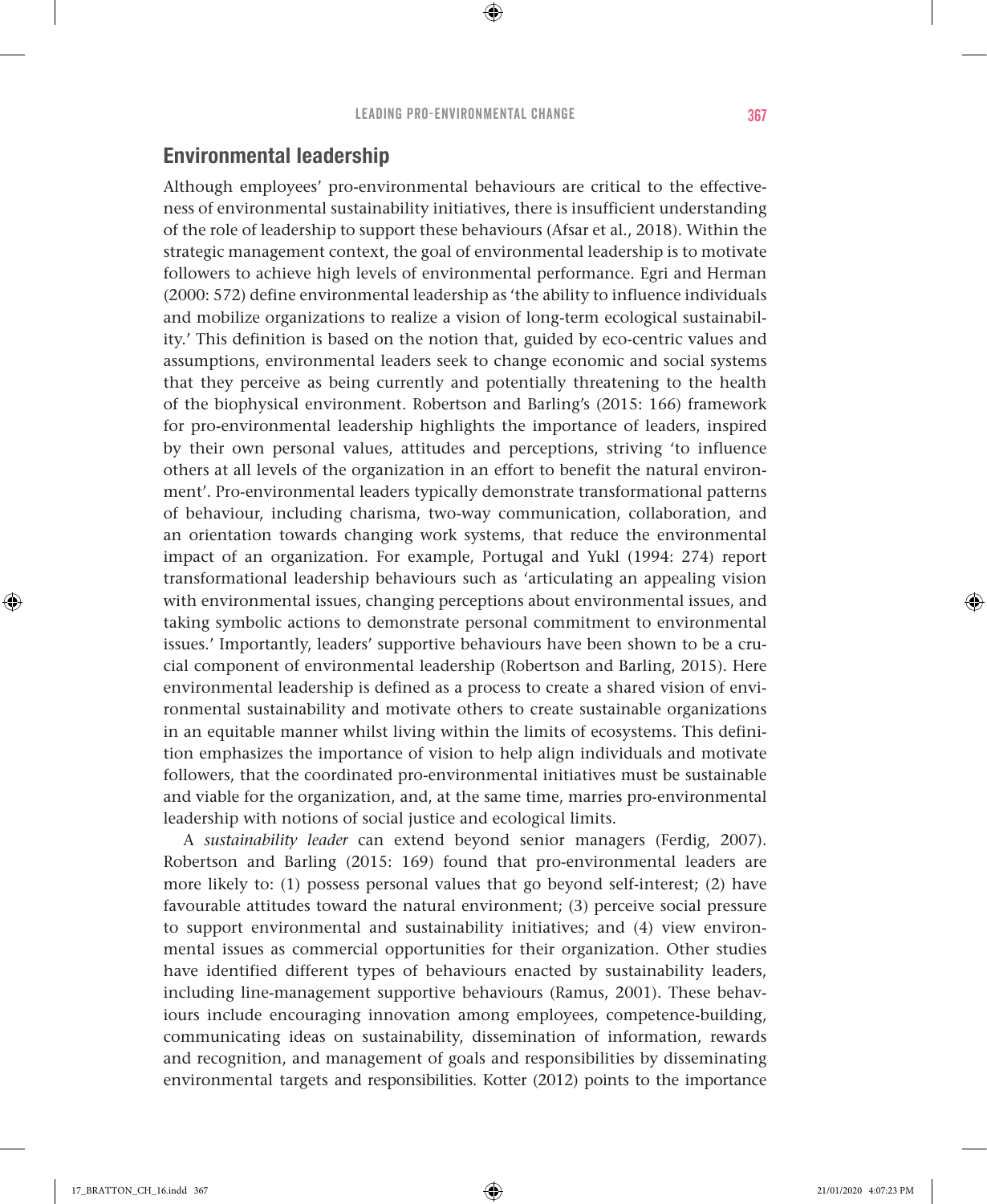## Environmental leadership

Although employees' pro-environmental behaviours are critical to the effectiveness of environmental sustainability initiatives, there is insufficient understanding of the role of leadership to support these behaviours (Afsar et al., 2018). Within the strategic management context, the goal of environmental leadership is to motivate followers to achieve high levels of environmental performance. Egri and Herman (2000: 572) define environmental leadership as 'the ability to influence individuals and mobilize organizations to realize a vision of long-term ecological sustainability.' This definition is based on the notion that, guided by eco-centric values and assumptions, environmental leaders seek to change economic and social systems that they perceive as being currently and potentially threatening to the health of the biophysical environment. Robertson and Barling's (2015: 166) framework for pro-environmental leadership highlights the importance of leaders, inspired by their own personal values, attitudes and perceptions, striving 'to influence others at all levels of the organization in an effort to benefit the natural environment'. Pro-environmental leaders typically demonstrate transformational patterns of behaviour, including charisma, two-way communication, collaboration, and an orientation towards changing work systems, that reduce the environmental impact of an organization. For example, Portugal and Yukl (1994: 274) report transformational leadership behaviours such as 'articulating an appealing vision with environmental issues, changing perceptions about environmental issues, and taking symbolic actions to demonstrate personal commitment to environmental issues.' Importantly, leaders' supportive behaviours have been shown to be a crucial component of environmental leadership (Robertson and Barling, 2015). Here environmental leadership is defined as a process to create a shared vision of environmental sustainability and motivate others to create sustainable organizations in an equitable manner whilst living within the limits of ecosystems. This definition emphasizes the importance of vision to help align individuals and motivate followers, that the coordinated pro-environmental initiatives must be sustainable and viable for the organization, and, at the same time, marries pro-environmental leadership with notions of social justice and ecological limits.

A *sustainability leader* can extend beyond senior managers (Ferdig, 2007). Robertson and Barling (2015: 169) found that pro-environmental leaders are more likely to: (1) possess personal values that go beyond self-interest; (2) have favourable attitudes toward the natural environment; (3) perceive social pressure to support environmental and sustainability initiatives; and (4) view environmental issues as commercial opportunities for their organization. Other studies have identified different types of behaviours enacted by sustainability leaders, including line-management supportive behaviours (Ramus, 2001). These behaviours include encouraging innovation among employees, competence-building, communicating ideas on sustainability, dissemination of information, rewards and recognition, and management of goals and responsibilities by disseminating environmental targets and responsibilities. Kotter (2012) points to the importance

♠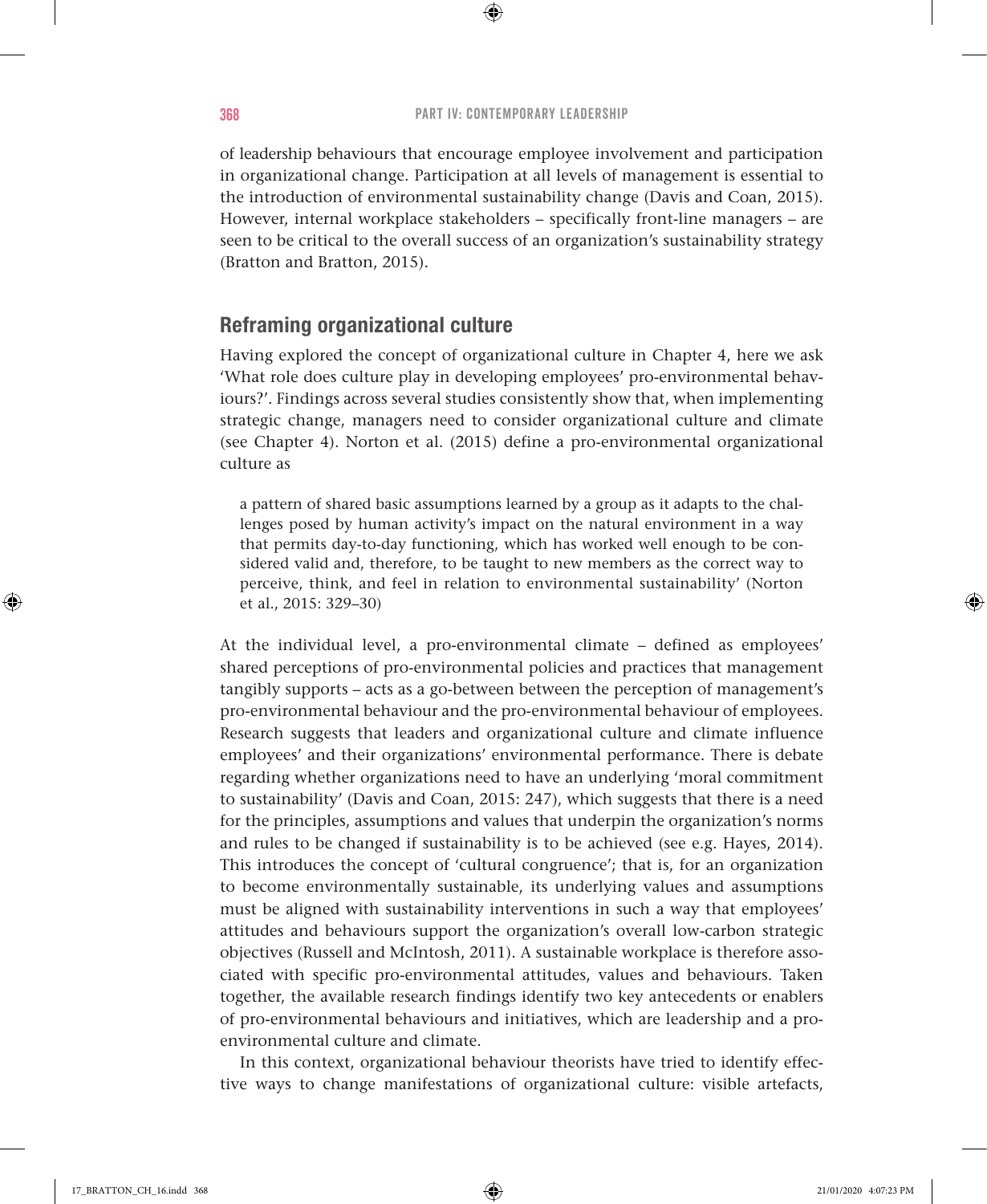$\bigoplus$ 

of leadership behaviours that encourage employee involvement and participation in organizational change. Participation at all levels of management is essential to the introduction of environmental sustainability change (Davis and Coan, 2015). However, internal workplace stakeholders – specifically front-line managers – are seen to be critical to the overall success of an organization's sustainability strategy (Bratton and Bratton, 2015).

## Reframing organizational culture

Having explored the concept of organizational culture in Chapter 4, here we ask 'What role does culture play in developing employees' pro-environmental behaviours?'. Findings across several studies consistently show that, when implementing strategic change, managers need to consider organizational culture and climate (see Chapter 4). Norton et al. (2015) define a pro-environmental organizational culture as

a pattern of shared basic assumptions learned by a group as it adapts to the challenges posed by human activity's impact on the natural environment in a way that permits day-to-day functioning, which has worked well enough to be considered valid and, therefore, to be taught to new members as the correct way to perceive, think, and feel in relation to environmental sustainability' (Norton et al., 2015: 329–30)

At the individual level, a pro-environmental climate – defined as employees' shared perceptions of pro-environmental policies and practices that management tangibly supports – acts as a go-between between the perception of management's pro-environmental behaviour and the pro-environmental behaviour of employees. Research suggests that leaders and organizational culture and climate influence employees' and their organizations' environmental performance. There is debate regarding whether organizations need to have an underlying 'moral commitment to sustainability' (Davis and Coan, 2015: 247), which suggests that there is a need for the principles, assumptions and values that underpin the organization's norms and rules to be changed if sustainability is to be achieved (see e.g. Hayes, 2014). This introduces the concept of 'cultural congruence'; that is, for an organization to become environmentally sustainable, its underlying values and assumptions must be aligned with sustainability interventions in such a way that employees' attitudes and behaviours support the organization's overall low-carbon strategic objectives (Russell and McIntosh, 2011). A sustainable workplace is therefore associated with specific pro-environmental attitudes, values and behaviours. Taken together, the available research findings identify two key antecedents or enablers of pro-environmental behaviours and initiatives, which are leadership and a proenvironmental culture and climate.

In this context, organizational behaviour theorists have tried to identify effective ways to change manifestations of organizational culture: visible artefacts,

♠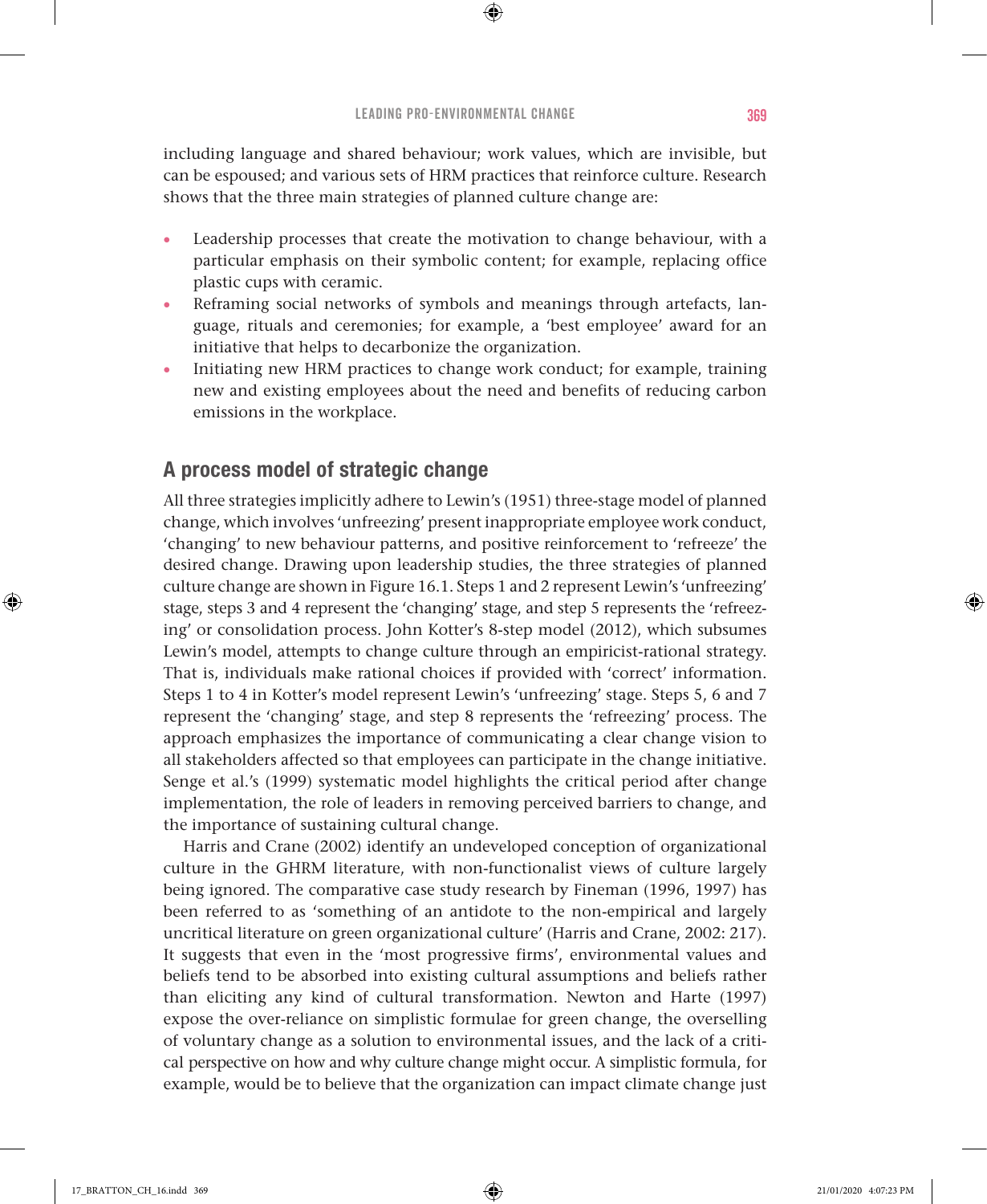⊕

including language and shared behaviour; work values, which are invisible, but can be espoused; and various sets of HRM practices that reinforce culture. Research shows that the three main strategies of planned culture change are:

- Leadership processes that create the motivation to change behaviour, with a particular emphasis on their symbolic content; for example, replacing office plastic cups with ceramic.
- Reframing social networks of symbols and meanings through artefacts, language, rituals and ceremonies; for example, a 'best employee' award for an initiative that helps to decarbonize the organization.
- Initiating new HRM practices to change work conduct; for example, training new and existing employees about the need and benefits of reducing carbon emissions in the workplace.

## A process model of strategic change

All three strategies implicitly adhere to Lewin's (1951) three-stage model of planned change, which involves 'unfreezing' present inappropriate employee work conduct, 'changing' to new behaviour patterns, and positive reinforcement to 'refreeze' the desired change. Drawing upon leadership studies, the three strategies of planned culture change are shown in Figure 16.1. Steps 1 and 2 represent Lewin's 'unfreezing' stage, steps 3 and 4 represent the 'changing' stage, and step 5 represents the 'refreezing' or consolidation process. John Kotter's 8-step model (2012), which subsumes Lewin's model, attempts to change culture through an empiricist-rational strategy. That is, individuals make rational choices if provided with 'correct' information. Steps 1 to 4 in Kotter's model represent Lewin's 'unfreezing' stage. Steps 5, 6 and 7 represent the 'changing' stage, and step 8 represents the 'refreezing' process. The approach emphasizes the importance of communicating a clear change vision to all stakeholders affected so that employees can participate in the change initiative. Senge et al.'s (1999) systematic model highlights the critical period after change implementation, the role of leaders in removing perceived barriers to change, and the importance of sustaining cultural change.

Harris and Crane (2002) identify an undeveloped conception of organizational culture in the GHRM literature, with non-functionalist views of culture largely being ignored. The comparative case study research by Fineman (1996, 1997) has been referred to as 'something of an antidote to the non-empirical and largely uncritical literature on green organizational culture' (Harris and Crane, 2002: 217). It suggests that even in the 'most progressive firms', environmental values and beliefs tend to be absorbed into existing cultural assumptions and beliefs rather than eliciting any kind of cultural transformation. Newton and Harte (1997) expose the over-reliance on simplistic formulae for green change, the overselling of voluntary change as a solution to environmental issues, and the lack of a critical perspective on how and why culture change might occur. A simplistic formula, for example, would be to believe that the organization can impact climate change just

♠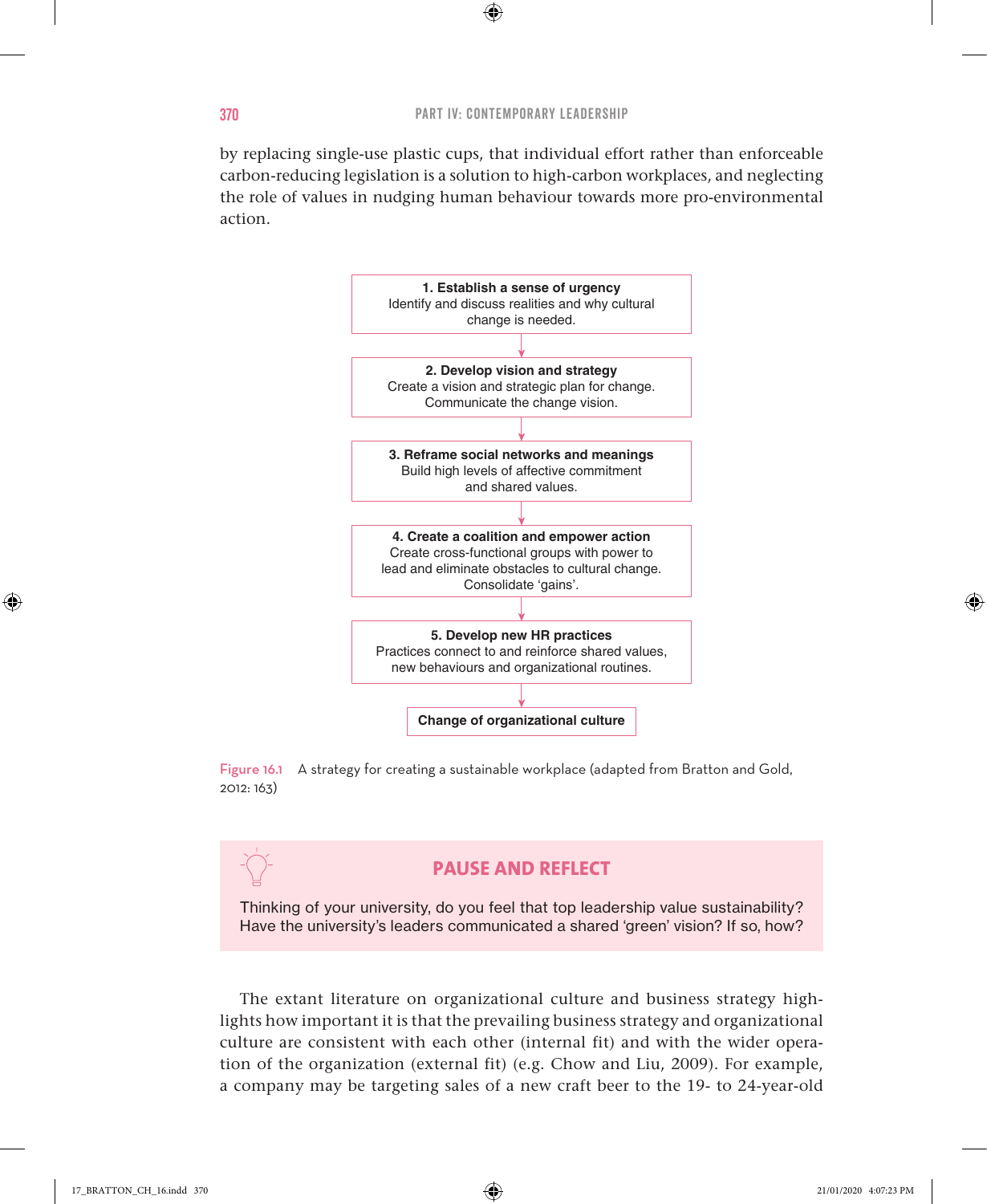$\bigoplus$ 

by replacing single-use plastic cups, that individual effort rather than enforceable carbon-reducing legislation is a solution to high-carbon workplaces, and neglecting the role of values in nudging human behaviour towards more pro-environmental action.



Figure 16.1 A strategy for creating a sustainable workplace (adapted from Bratton and Gold, 2012: 163)

## **PAUSE AND REFLECT**

Thinking of your university, do you feel that top leadership value sustainability? Have the university's leaders communicated a shared 'green' vision? If so, how?

The extant literature on organizational culture and business strategy highlights how important it is that the prevailing business strategy and organizational culture are consistent with each other (internal fit) and with the wider operation of the organization (external fit) (e.g. Chow and Liu, 2009). For example, a company may be targeting sales of a new craft beer to the 19- to 24-year-old

♠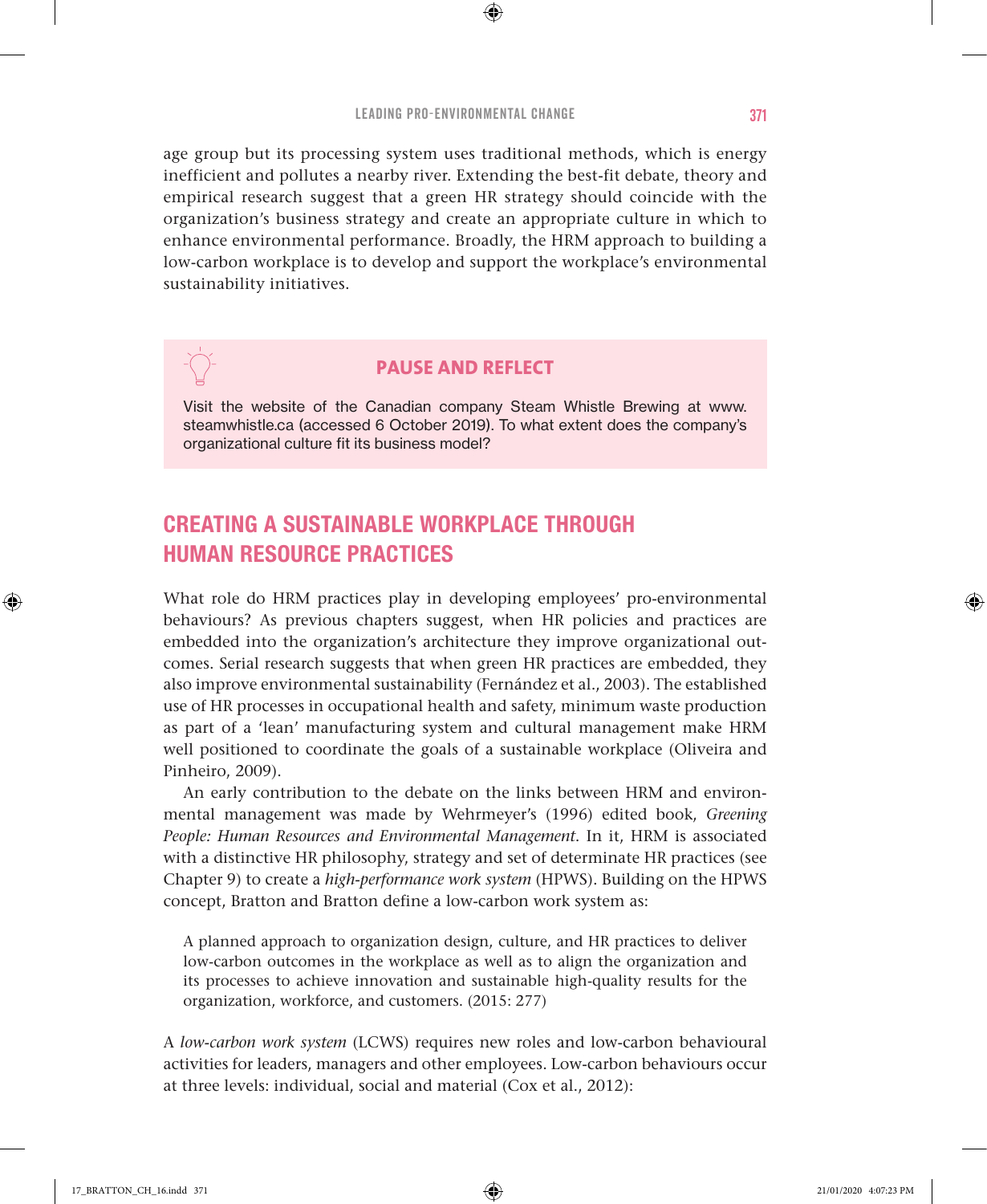⊕

age group but its processing system uses traditional methods, which is energy inefficient and pollutes a nearby river. Extending the best-fit debate, theory and empirical research suggest that a green HR strategy should coincide with the organization's business strategy and create an appropriate culture in which to enhance environmental performance. Broadly, the HRM approach to building a low-carbon workplace is to develop and support the workplace's environmental sustainability initiatives.

## **PAUSE AND REFLECT**

Visit the website of the Canadian company Steam Whistle Brewing at www. steamwhistle.ca (accessed 6 October 2019). To what extent does the company's organizational culture fit its business model?

## CREATING A SUSTAINABLE WORKPLACE THROUGH HUMAN RESOURCE PRACTICES

What role do HRM practices play in developing employees' pro-environmental behaviours? As previous chapters suggest, when HR policies and practices are embedded into the organization's architecture they improve organizational outcomes. Serial research suggests that when green HR practices are embedded, they also improve environmental sustainability (Fernández et al., 2003). The established use of HR processes in occupational health and safety, minimum waste production as part of a 'lean' manufacturing system and cultural management make HRM well positioned to coordinate the goals of a sustainable workplace (Oliveira and Pinheiro, 2009).

An early contribution to the debate on the links between HRM and environmental management was made by Wehrmeyer's (1996) edited book, *Greening People: Human Resources and Environmental Management*. In it, HRM is associated with a distinctive HR philosophy, strategy and set of determinate HR practices (see Chapter 9) to create a *high-performance work system* (HPWS). Building on the HPWS concept, Bratton and Bratton define a low-carbon work system as:

A planned approach to organization design, culture, and HR practices to deliver low-carbon outcomes in the workplace as well as to align the organization and its processes to achieve innovation and sustainable high-quality results for the organization, workforce, and customers. (2015: 277)

A *low-carbon work system* (LCWS) requires new roles and low-carbon behavioural activities for leaders, managers and other employees. Low-carbon behaviours occur at three levels: individual, social and material (Cox et al., 2012):

♠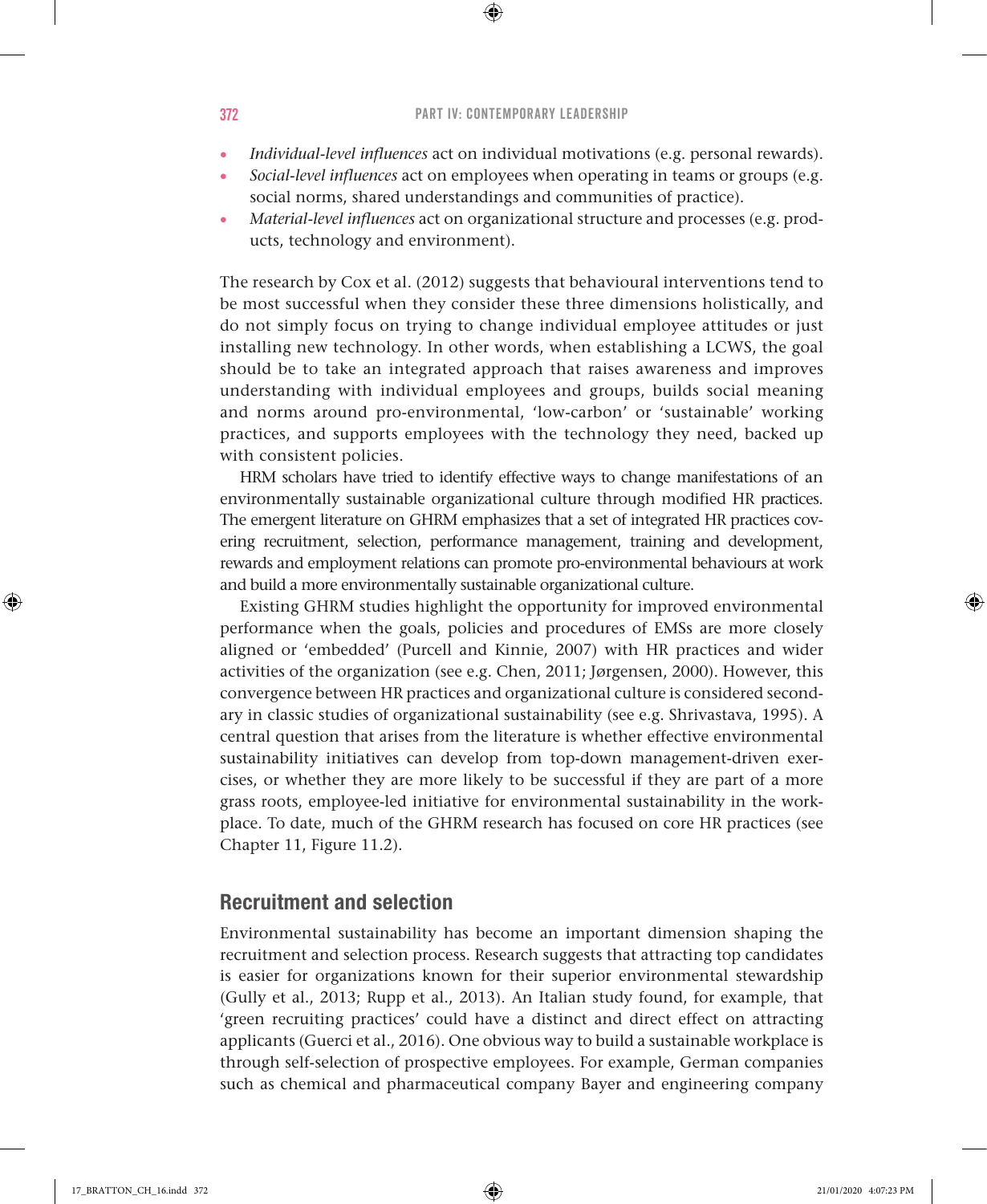$\bigoplus$ 

- *Individual-level influences* act on individual motivations (e.g. personal rewards).
- *Social-level influences* act on employees when operating in teams or groups (e.g. social norms, shared understandings and communities of practice).
- *Material-level influences* act on organizational structure and processes (e.g. products, technology and environment).

The research by Cox et al. (2012) suggests that behavioural interventions tend to be most successful when they consider these three dimensions holistically, and do not simply focus on trying to change individual employee attitudes or just installing new technology. In other words, when establishing a LCWS, the goal should be to take an integrated approach that raises awareness and improves understanding with individual employees and groups, builds social meaning and norms around pro-environmental, 'low-carbon' or 'sustainable' working practices, and supports employees with the technology they need, backed up with consistent policies.

HRM scholars have tried to identify effective ways to change manifestations of an environmentally sustainable organizational culture through modified HR practices. The emergent literature on GHRM emphasizes that a set of integrated HR practices covering recruitment, selection, performance management, training and development, rewards and employment relations can promote pro-environmental behaviours at work and build a more environmentally sustainable organizational culture.

Existing GHRM studies highlight the opportunity for improved environmental performance when the goals, policies and procedures of EMSs are more closely aligned or 'embedded' (Purcell and Kinnie, 2007) with HR practices and wider activities of the organization (see e.g. Chen, 2011; Jørgensen, 2000). However, this convergence between HR practices and organizational culture is considered secondary in classic studies of organizational sustainability (see e.g. Shrivastava, 1995). A central question that arises from the literature is whether effective environmental sustainability initiatives can develop from top-down management-driven exercises, or whether they are more likely to be successful if they are part of a more grass roots, employee-led initiative for environmental sustainability in the workplace. To date, much of the GHRM research has focused on core HR practices (see Chapter 11, Figure 11.2).

## Recruitment and selection

Environmental sustainability has become an important dimension shaping the recruitment and selection process. Research suggests that attracting top candidates is easier for organizations known for their superior environmental stewardship (Gully et al., 2013; Rupp et al., 2013). An Italian study found, for example, that 'green recruiting practices' could have a distinct and direct effect on attracting applicants (Guerci et al., 2016). One obvious way to build a sustainable workplace is through self-selection of prospective employees. For example, German companies such as chemical and pharmaceutical company Bayer and engineering company

♠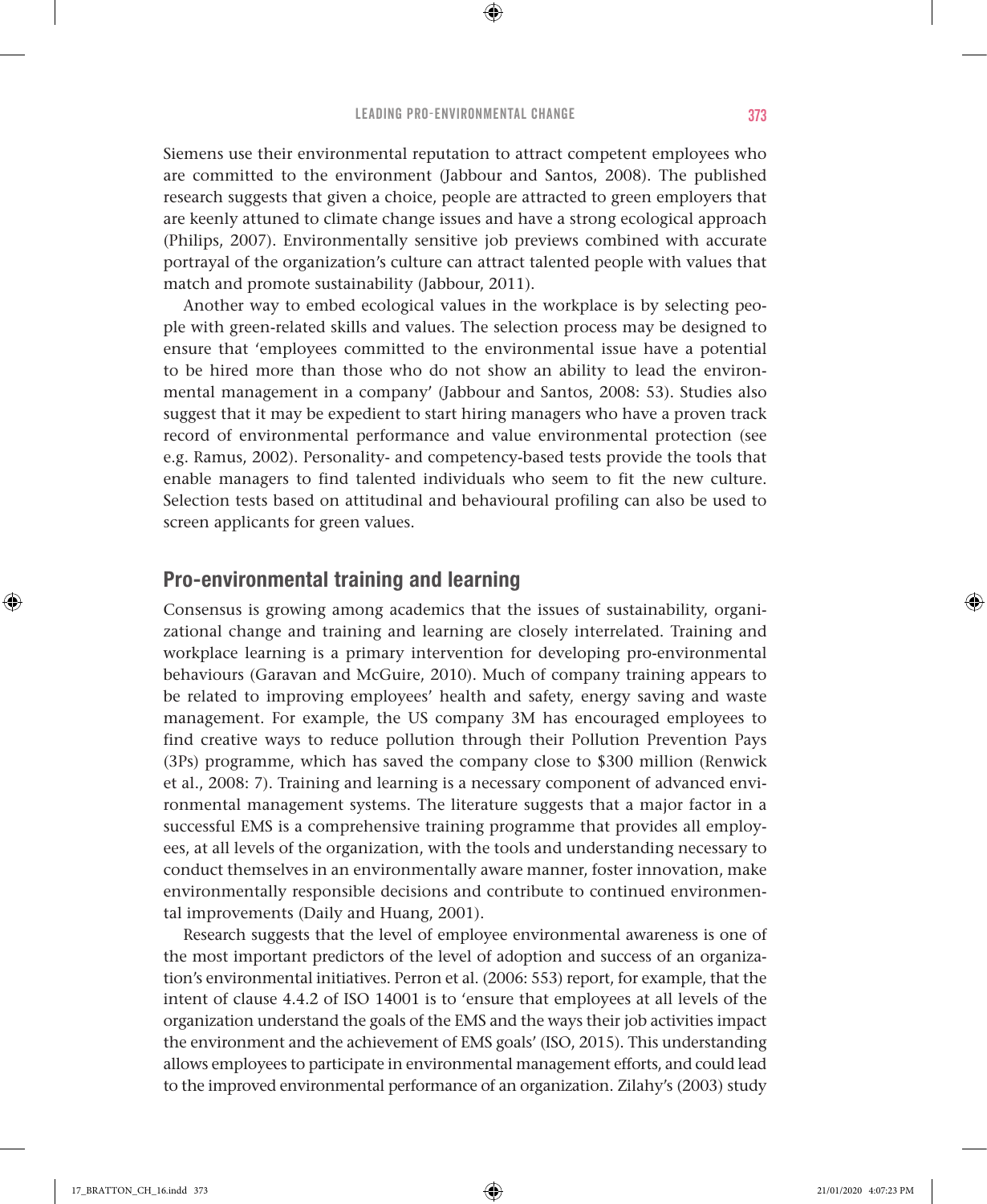Siemens use their environmental reputation to attract competent employees who are committed to the environment (Jabbour and Santos, 2008). The published research suggests that given a choice, people are attracted to green employers that are keenly attuned to climate change issues and have a strong ecological approach (Philips, 2007). Environmentally sensitive job previews combined with accurate portrayal of the organization's culture can attract talented people with values that match and promote sustainability (Jabbour, 2011).

Another way to embed ecological values in the workplace is by selecting people with green-related skills and values. The selection process may be designed to ensure that 'employees committed to the environmental issue have a potential to be hired more than those who do not show an ability to lead the environmental management in a company' (Jabbour and Santos, 2008: 53). Studies also suggest that it may be expedient to start hiring managers who have a proven track record of environmental performance and value environmental protection (see e.g. Ramus, 2002). Personality- and competency-based tests provide the tools that enable managers to find talented individuals who seem to fit the new culture. Selection tests based on attitudinal and behavioural profiling can also be used to screen applicants for green values.

## Pro-environmental training and learning

Consensus is growing among academics that the issues of sustainability, organizational change and training and learning are closely interrelated. Training and workplace learning is a primary intervention for developing pro-environmental behaviours (Garavan and McGuire, 2010). Much of company training appears to be related to improving employees' health and safety, energy saving and waste management. For example, the US company 3M has encouraged employees to find creative ways to reduce pollution through their Pollution Prevention Pays (3Ps) programme, which has saved the company close to \$300 million (Renwick et al., 2008: 7). Training and learning is a necessary component of advanced environmental management systems. The literature suggests that a major factor in a successful EMS is a comprehensive training programme that provides all employees, at all levels of the organization, with the tools and understanding necessary to conduct themselves in an environmentally aware manner, foster innovation, make environmentally responsible decisions and contribute to continued environmental improvements (Daily and Huang, 2001).

Research suggests that the level of employee environmental awareness is one of the most important predictors of the level of adoption and success of an organization's environmental initiatives. Perron et al. (2006: 553) report, for example, that the intent of clause 4.4.2 of ISO 14001 is to 'ensure that employees at all levels of the organization understand the goals of the EMS and the ways their job activities impact the environment and the achievement of EMS goals' (ISO, 2015). This understanding allows employees to participate in environmental management efforts, and could lead to the improved environmental performance of an organization. Zilahy's (2003) study

♠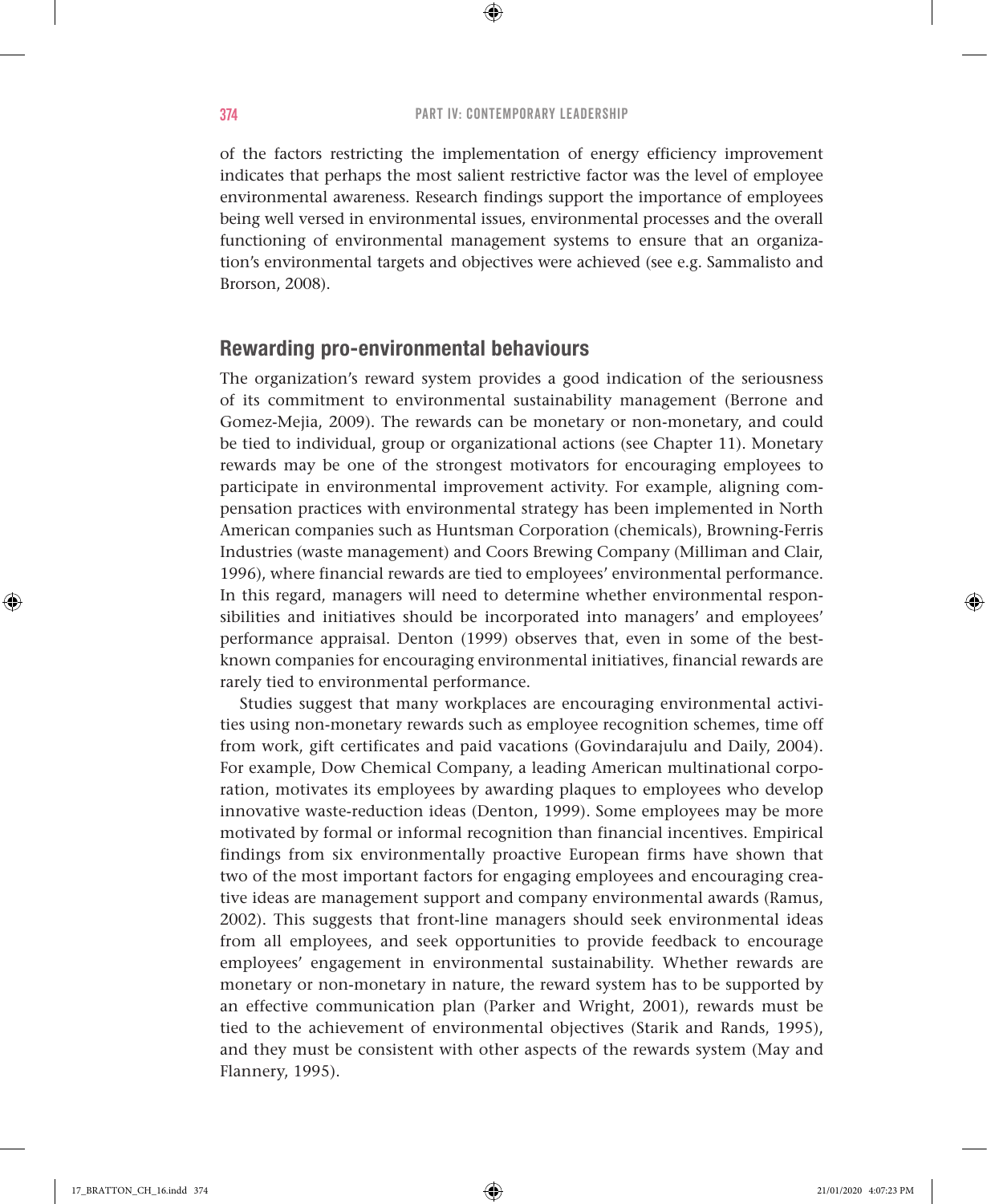$\bigoplus$ 

of the factors restricting the implementation of energy efficiency improvement indicates that perhaps the most salient restrictive factor was the level of employee environmental awareness. Research findings support the importance of employees being well versed in environmental issues, environmental processes and the overall functioning of environmental management systems to ensure that an organization's environmental targets and objectives were achieved (see e.g. Sammalisto and Brorson, 2008).

## Rewarding pro-environmental behaviours

The organization's reward system provides a good indication of the seriousness of its commitment to environmental sustainability management (Berrone and Gomez-Mejia, 2009). The rewards can be monetary or non-monetary, and could be tied to individual, group or organizational actions (see Chapter 11). Monetary rewards may be one of the strongest motivators for encouraging employees to participate in environmental improvement activity. For example, aligning compensation practices with environmental strategy has been implemented in North American companies such as Huntsman Corporation (chemicals), Browning-Ferris Industries (waste management) and Coors Brewing Company (Milliman and Clair, 1996), where financial rewards are tied to employees' environmental performance. In this regard, managers will need to determine whether environmental responsibilities and initiatives should be incorporated into managers' and employees' performance appraisal. Denton (1999) observes that, even in some of the bestknown companies for encouraging environmental initiatives, financial rewards are rarely tied to environmental performance.

Studies suggest that many workplaces are encouraging environmental activities using non-monetary rewards such as employee recognition schemes, time off from work, gift certificates and paid vacations (Govindarajulu and Daily, 2004). For example, Dow Chemical Company, a leading American multinational corporation, motivates its employees by awarding plaques to employees who develop innovative waste-reduction ideas (Denton, 1999). Some employees may be more motivated by formal or informal recognition than financial incentives. Empirical findings from six environmentally proactive European firms have shown that two of the most important factors for engaging employees and encouraging creative ideas are management support and company environmental awards (Ramus, 2002). This suggests that front-line managers should seek environmental ideas from all employees, and seek opportunities to provide feedback to encourage employees' engagement in environmental sustainability. Whether rewards are monetary or non-monetary in nature, the reward system has to be supported by an effective communication plan (Parker and Wright, 2001), rewards must be tied to the achievement of environmental objectives (Starik and Rands, 1995), and they must be consistent with other aspects of the rewards system (May and Flannery, 1995).

♠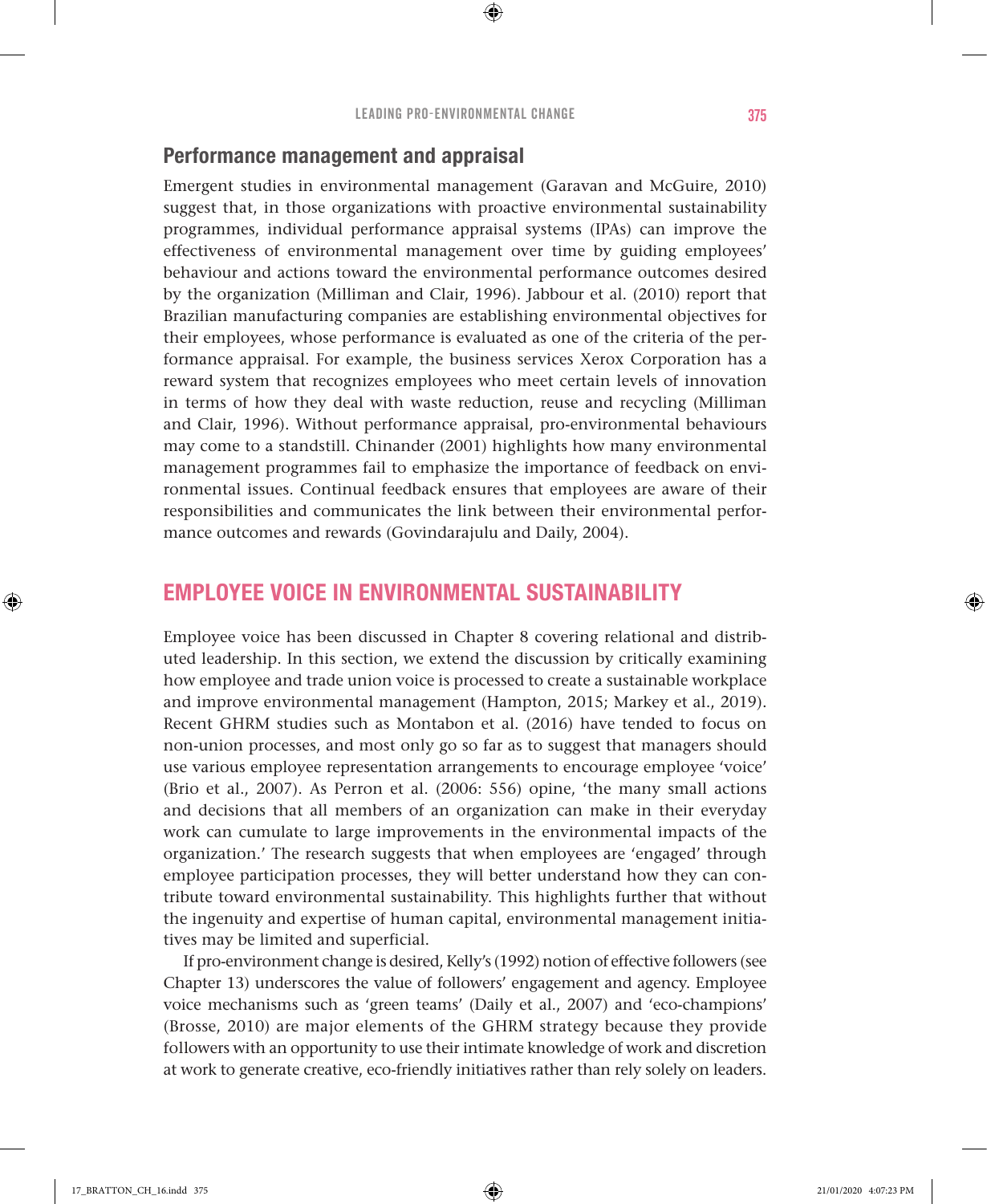### Performance management and appraisal

Emergent studies in environmental management (Garavan and McGuire, 2010) suggest that, in those organizations with proactive environmental sustainability programmes, individual performance appraisal systems (IPAs) can improve the effectiveness of environmental management over time by guiding employees' behaviour and actions toward the environmental performance outcomes desired by the organization (Milliman and Clair, 1996). Jabbour et al. (2010) report that Brazilian manufacturing companies are establishing environmental objectives for their employees, whose performance is evaluated as one of the criteria of the performance appraisal. For example, the business services Xerox Corporation has a reward system that recognizes employees who meet certain levels of innovation in terms of how they deal with waste reduction, reuse and recycling (Milliman and Clair, 1996). Without performance appraisal, pro-environmental behaviours may come to a standstill. Chinander (2001) highlights how many environmental management programmes fail to emphasize the importance of feedback on environmental issues. Continual feedback ensures that employees are aware of their responsibilities and communicates the link between their environmental performance outcomes and rewards (Govindarajulu and Daily, 2004).

## EMPLOYEE VOICE IN ENVIRONMENTAL SUSTAINABILITY

Employee voice has been discussed in Chapter 8 covering relational and distributed leadership. In this section, we extend the discussion by critically examining how employee and trade union voice is processed to create a sustainable workplace and improve environmental management (Hampton, 2015; Markey et al., 2019). Recent GHRM studies such as Montabon et al. (2016) have tended to focus on non-union processes, and most only go so far as to suggest that managers should use various employee representation arrangements to encourage employee 'voice' (Brio et al., 2007). As Perron et al. (2006: 556) opine, 'the many small actions and decisions that all members of an organization can make in their everyday work can cumulate to large improvements in the environmental impacts of the organization.' The research suggests that when employees are 'engaged' through employee participation processes, they will better understand how they can contribute toward environmental sustainability. This highlights further that without the ingenuity and expertise of human capital, environmental management initiatives may be limited and superficial.

If pro-environment change is desired, Kelly's (1992) notion of effective followers (see Chapter 13) underscores the value of followers' engagement and agency. Employee voice mechanisms such as 'green teams' (Daily et al., 2007) and 'eco-champions' (Brosse, 2010) are major elements of the GHRM strategy because they provide followers with an opportunity to use their intimate knowledge of work and discretion at work to generate creative, eco-friendly initiatives rather than rely solely on leaders.

♠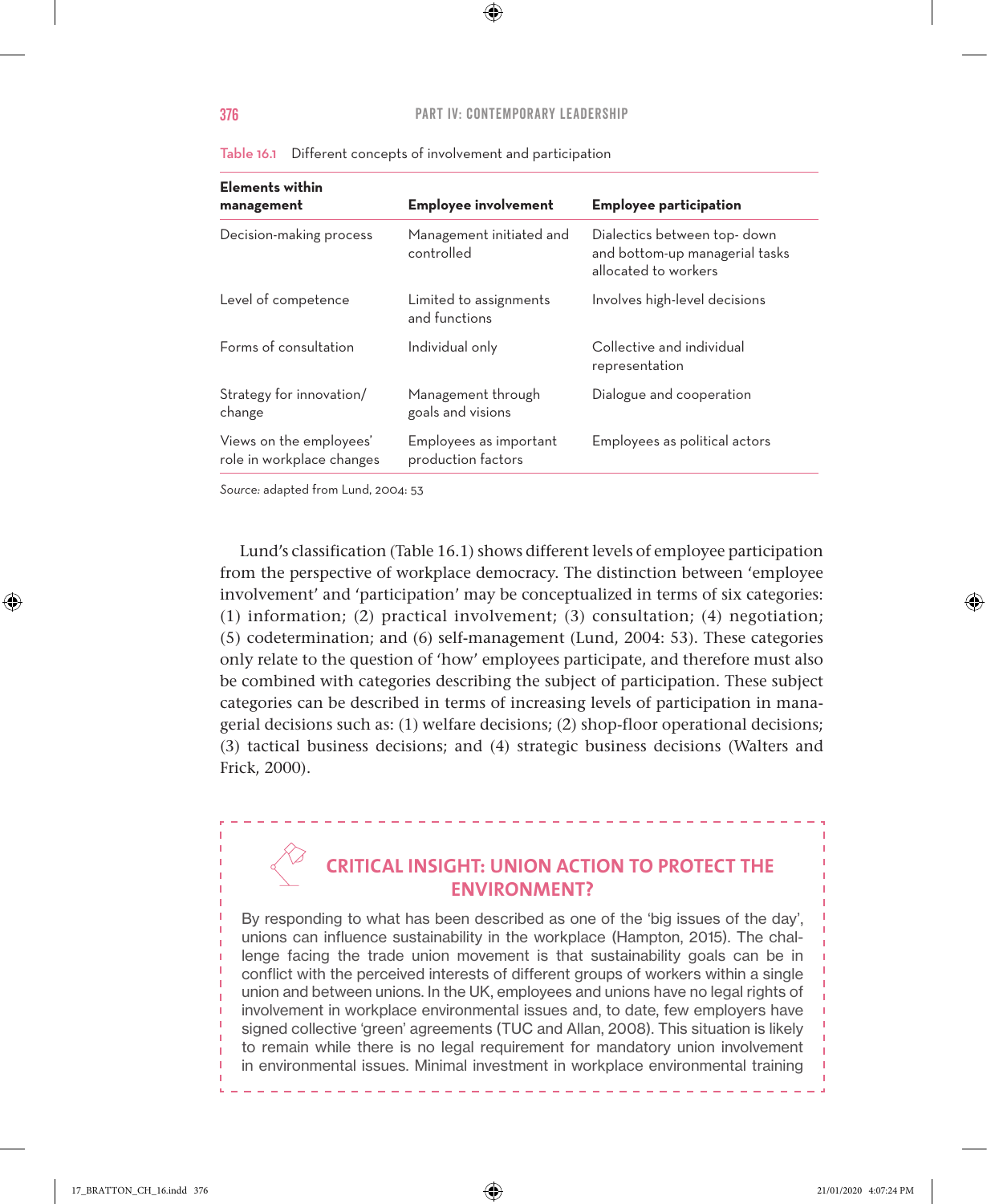| <b>Elements within</b><br>management                 | <b>Employee involvement</b>                  | <b>Employee participation</b>                                                         |
|------------------------------------------------------|----------------------------------------------|---------------------------------------------------------------------------------------|
| Decision-making process                              | Management initiated and<br>controlled       | Dialectics between top-down<br>and bottom-up managerial tasks<br>allocated to workers |
| Level of competence                                  | Limited to assignments<br>and functions      | Involves high-level decisions                                                         |
| Forms of consultation                                | Individual only                              | Collective and individual<br>representation                                           |
| Strategy for innovation/<br>change                   | Management through<br>goals and visions      | Dialogue and cooperation                                                              |
| Views on the employees'<br>role in workplace changes | Employees as important<br>production factors | Employees as political actors                                                         |

Table 16.1 Different concepts of involvement and participation

*Source:* adapted from Lund, 2004: 53

Lund's classification (Table 16.1) shows different levels of employee participation from the perspective of workplace democracy. The distinction between 'employee involvement' and 'participation' may be conceptualized in terms of six categories: (1) information; (2) practical involvement; (3) consultation; (4) negotiation; (5) codetermination; and (6) self-management (Lund, 2004: 53). These categories only relate to the question of 'how' employees participate, and therefore must also be combined with categories describing the subject of participation. These subject categories can be described in terms of increasing levels of participation in managerial decisions such as: (1) welfare decisions; (2) shop-floor operational decisions; (3) tactical business decisions; and (4) strategic business decisions (Walters and Frick, 2000).

## **CRITICAL INSIGHT: UNION ACTION TO PROTECT THE ENVIRONMENT?**

By responding to what has been described as one of the 'big issues of the day', unions can influence sustainability in the workplace (Hampton, 2015). The challenge facing the trade union movement is that sustainability goals can be in conflict with the perceived interests of different groups of workers within a single union and between unions. In the UK, employees and unions have no legal rights of involvement in workplace environmental issues and, to date, few employers have signed collective 'green' agreements (TUC and Allan, 2008). This situation is likely to remain while there is no legal requirement for mandatory union involvement in environmental issues. Minimal investment in workplace environmental training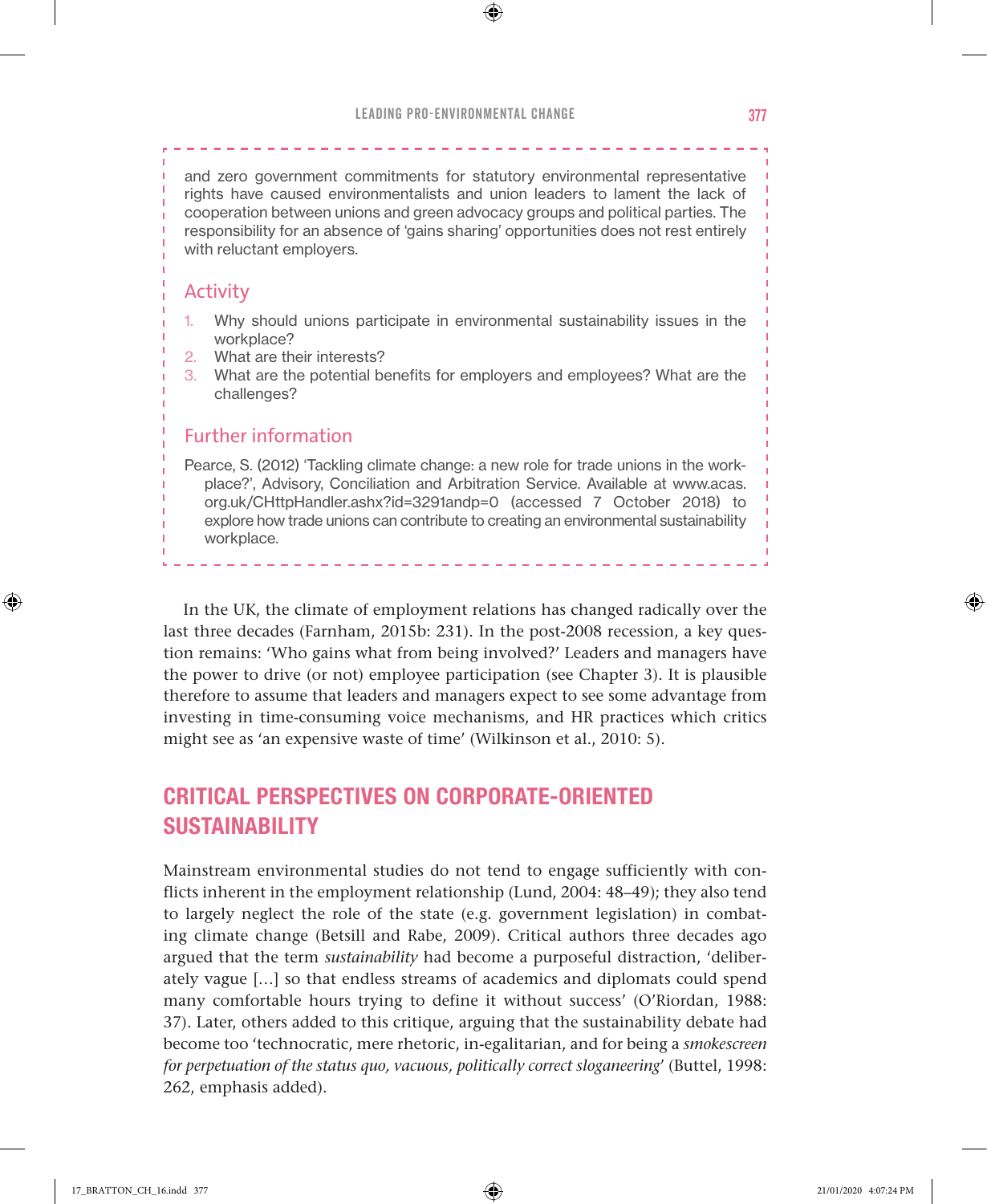⊕

and zero government commitments for statutory environmental representative rights have caused environmentalists and union leaders to lament the lack of cooperation between unions and green advocacy groups and political parties. The responsibility for an absence of 'gains sharing' opportunities does not rest entirely with reluctant employers.

#### Activity

- 1. Why should unions participate in environmental sustainability issues in the workplace?
- 2. What are their interests?
- 3. What are the potential benefits for employers and employees? What are the challenges?

#### Further information

Pearce, S. (2012) 'Tackling climate change: a new role for trade unions in the workplace?', Advisory, Conciliation and Arbitration Service. Available at www.acas. org.uk/CHttpHandler.ashx?id=3291andp=0 (accessed 7 October 2018) to explore how trade unions can contribute to creating an environmental sustainability workplace.

In the UK, the climate of employment relations has changed radically over the last three decades (Farnham, 2015b: 231). In the post-2008 recession, a key question remains: 'Who gains what from being involved?' Leaders and managers have the power to drive (or not) employee participation (see Chapter 3). It is plausible therefore to assume that leaders and managers expect to see some advantage from investing in time-consuming voice mechanisms, and HR practices which critics might see as 'an expensive waste of time' (Wilkinson et al., 2010: 5).

## CRITICAL PERSPECTIVES ON CORPORATE-ORIENTED SUSTAINABILITY

Mainstream environmental studies do not tend to engage sufficiently with conflicts inherent in the employment relationship (Lund, 2004: 48–49); they also tend to largely neglect the role of the state (e.g. government legislation) in combating climate change (Betsill and Rabe, 2009). Critical authors three decades ago argued that the term *sustainability* had become a purposeful distraction, 'deliberately vague […] so that endless streams of academics and diplomats could spend many comfortable hours trying to define it without success' (O'Riordan, 1988: 37). Later, others added to this critique, arguing that the sustainability debate had become too 'technocratic, mere rhetoric, in-egalitarian, and for being a *smokescreen for perpetuation of the status quo, vacuous, politically correct sloganeering*' (Buttel, 1998: 262, emphasis added).

♠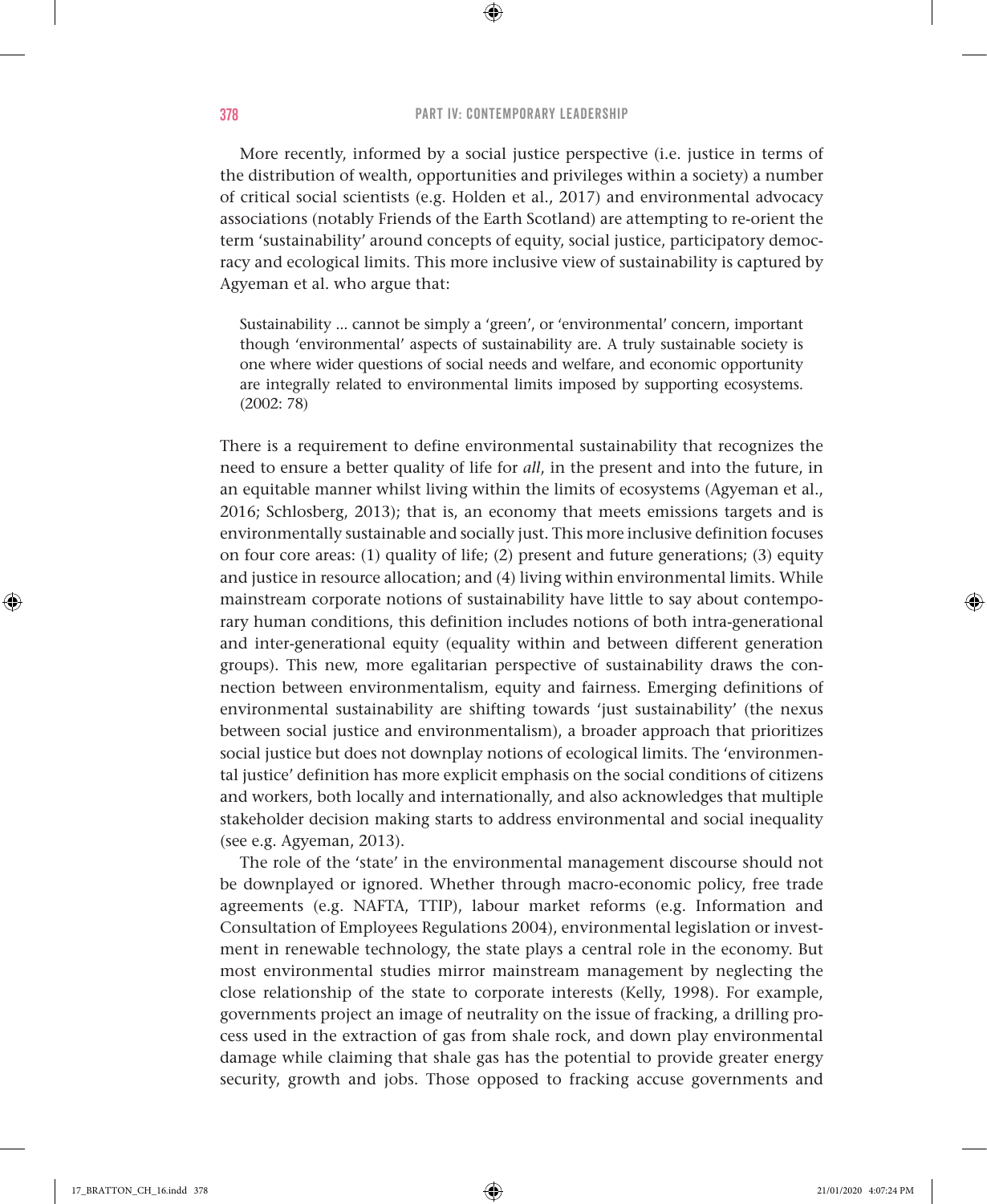⊕

More recently, informed by a social justice perspective (i.e. justice in terms of the distribution of wealth, opportunities and privileges within a society) a number of critical social scientists (e.g. Holden et al., 2017) and environmental advocacy associations (notably Friends of the Earth Scotland) are attempting to re-orient the term 'sustainability' around concepts of equity, social justice, participatory democracy and ecological limits. This more inclusive view of sustainability is captured by Agyeman et al. who argue that:

Sustainability ... cannot be simply a 'green', or 'environmental' concern, important though 'environmental' aspects of sustainability are. A truly sustainable society is one where wider questions of social needs and welfare, and economic opportunity are integrally related to environmental limits imposed by supporting ecosystems. (2002: 78)

There is a requirement to define environmental sustainability that recognizes the need to ensure a better quality of life for *all*, in the present and into the future, in an equitable manner whilst living within the limits of ecosystems (Agyeman et al., 2016; Schlosberg, 2013); that is, an economy that meets emissions targets and is environmentally sustainable and socially just. This more inclusive definition focuses on four core areas: (1) quality of life; (2) present and future generations; (3) equity and justice in resource allocation; and (4) living within environmental limits. While mainstream corporate notions of sustainability have little to say about contemporary human conditions, this definition includes notions of both intra-generational and inter-generational equity (equality within and between different generation groups). This new, more egalitarian perspective of sustainability draws the connection between environmentalism, equity and fairness. Emerging definitions of environmental sustainability are shifting towards 'just sustainability' (the nexus between social justice and environmentalism), a broader approach that prioritizes social justice but does not downplay notions of ecological limits. The 'environmental justice' definition has more explicit emphasis on the social conditions of citizens and workers, both locally and internationally, and also acknowledges that multiple stakeholder decision making starts to address environmental and social inequality (see e.g. Agyeman, 2013).

The role of the 'state' in the environmental management discourse should not be downplayed or ignored. Whether through macro-economic policy, free trade agreements (e.g. NAFTA, TTIP), labour market reforms (e.g. Information and Consultation of Employees Regulations 2004), environmental legislation or investment in renewable technology, the state plays a central role in the economy. But most environmental studies mirror mainstream management by neglecting the close relationship of the state to corporate interests (Kelly, 1998). For example, governments project an image of neutrality on the issue of fracking, a drilling process used in the extraction of gas from shale rock, and down play environmental damage while claiming that shale gas has the potential to provide greater energy security, growth and jobs. Those opposed to fracking accuse governments and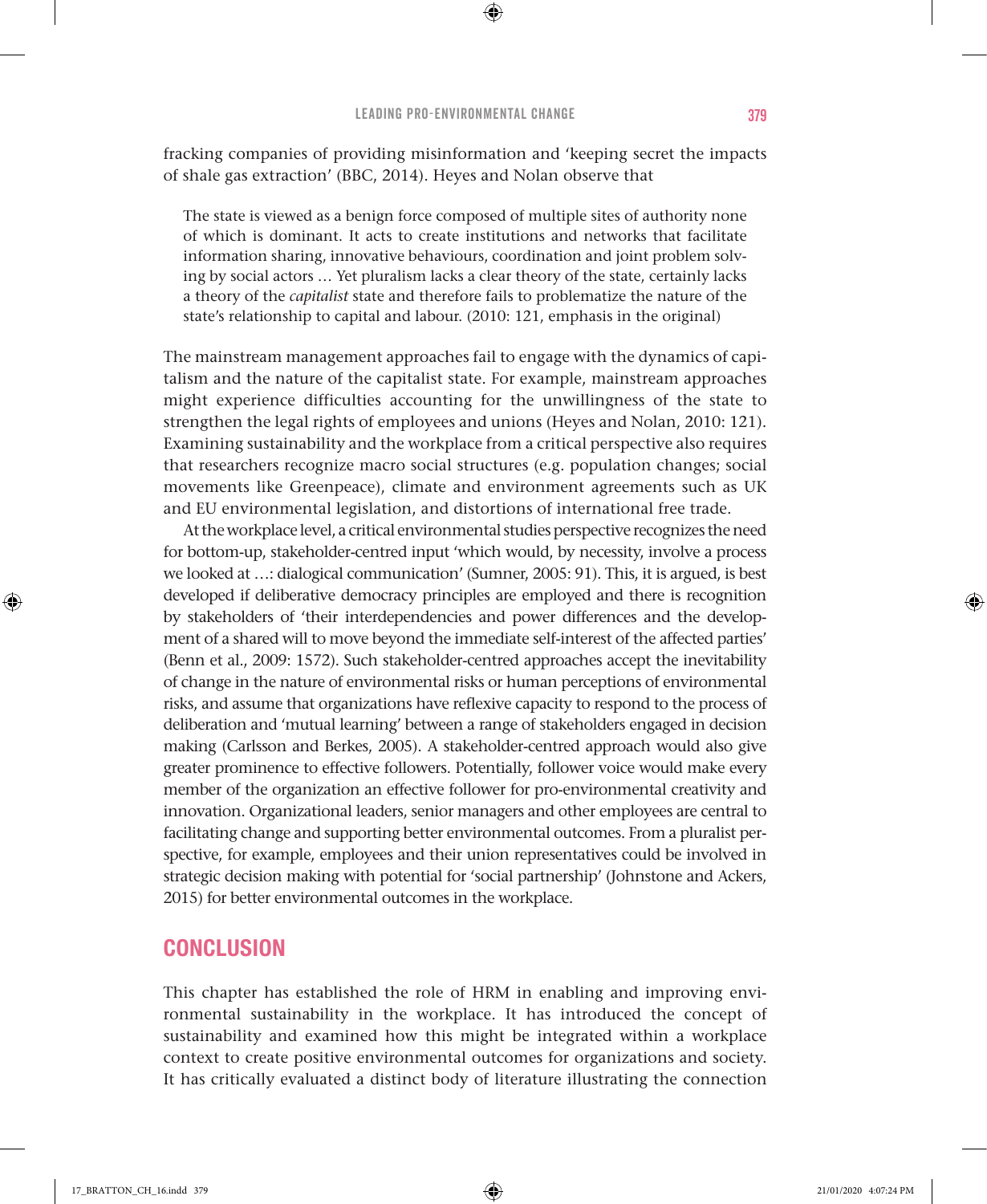⊕

fracking companies of providing misinformation and 'keeping secret the impacts of shale gas extraction' (BBC, 2014). Heyes and Nolan observe that

The state is viewed as a benign force composed of multiple sites of authority none of which is dominant. It acts to create institutions and networks that facilitate information sharing, innovative behaviours, coordination and joint problem solving by social actors … Yet pluralism lacks a clear theory of the state, certainly lacks a theory of the *capitalist* state and therefore fails to problematize the nature of the state's relationship to capital and labour. (2010: 121, emphasis in the original)

The mainstream management approaches fail to engage with the dynamics of capitalism and the nature of the capitalist state. For example, mainstream approaches might experience difficulties accounting for the unwillingness of the state to strengthen the legal rights of employees and unions (Heyes and Nolan, 2010: 121). Examining sustainability and the workplace from a critical perspective also requires that researchers recognize macro social structures (e.g. population changes; social movements like Greenpeace), climate and environment agreements such as UK and EU environmental legislation, and distortions of international free trade.

At the workplace level, a critical environmental studies perspective recognizes the need for bottom-up, stakeholder-centred input 'which would, by necessity, involve a process we looked at …: dialogical communication' (Sumner, 2005: 91). This, it is argued, is best developed if deliberative democracy principles are employed and there is recognition by stakeholders of 'their interdependencies and power differences and the development of a shared will to move beyond the immediate self-interest of the affected parties' (Benn et al., 2009: 1572). Such stakeholder-centred approaches accept the inevitability of change in the nature of environmental risks or human perceptions of environmental risks, and assume that organizations have reflexive capacity to respond to the process of deliberation and 'mutual learning' between a range of stakeholders engaged in decision making (Carlsson and Berkes, 2005). A stakeholder-centred approach would also give greater prominence to effective followers. Potentially, follower voice would make every member of the organization an effective follower for pro-environmental creativity and innovation. Organizational leaders, senior managers and other employees are central to facilitating change and supporting better environmental outcomes. From a pluralist perspective, for example, employees and their union representatives could be involved in strategic decision making with potential for 'social partnership' (Johnstone and Ackers, 2015) for better environmental outcomes in the workplace.

## **CONCLUSION**

This chapter has established the role of HRM in enabling and improving environmental sustainability in the workplace. It has introduced the concept of sustainability and examined how this might be integrated within a workplace context to create positive environmental outcomes for organizations and society. It has critically evaluated a distinct body of literature illustrating the connection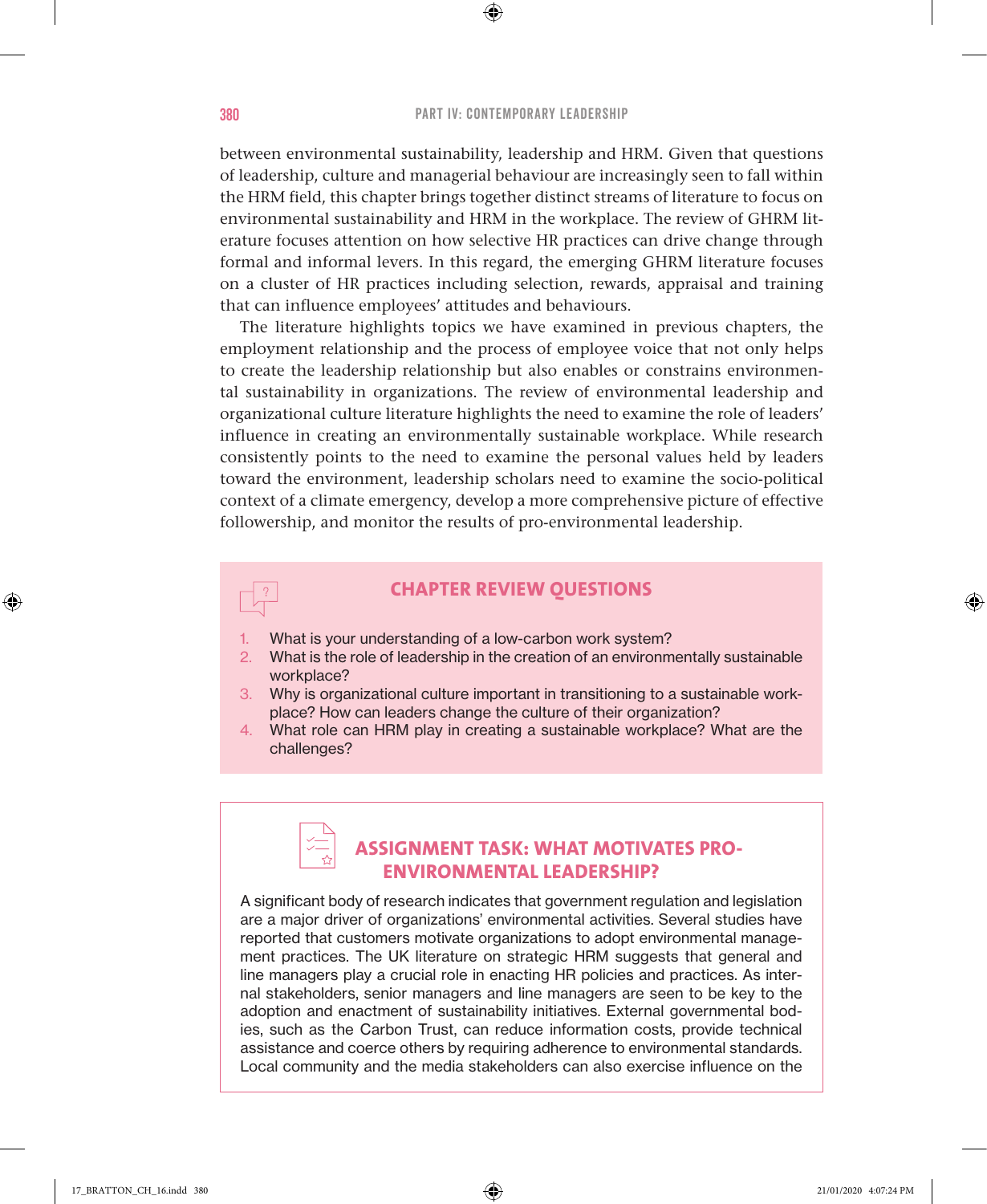between environmental sustainability, leadership and HRM. Given that questions of leadership, culture and managerial behaviour are increasingly seen to fall within the HRM field, this chapter brings together distinct streams of literature to focus on environmental sustainability and HRM in the workplace. The review of GHRM literature focuses attention on how selective HR practices can drive change through formal and informal levers. In this regard, the emerging GHRM literature focuses on a cluster of HR practices including selection, rewards, appraisal and training that can influence employees' attitudes and behaviours.

The literature highlights topics we have examined in previous chapters, the employment relationship and the process of employee voice that not only helps to create the leadership relationship but also enables or constrains environmental sustainability in organizations. The review of environmental leadership and organizational culture literature highlights the need to examine the role of leaders' influence in creating an environmentally sustainable workplace. While research consistently points to the need to examine the personal values held by leaders toward the environment, leadership scholars need to examine the socio-political context of a climate emergency, develop a more comprehensive picture of effective followership, and monitor the results of pro-environmental leadership.

## **CHAPTER REVIEW QUESTIONS**

- What is your understanding of a low-carbon work system?
- 2. What is the role of leadership in the creation of an environmentally sustainable workplace?
- 3. Why is organizational culture important in transitioning to a sustainable workplace? How can leaders change the culture of their organization?
- 4. What role can HRM play in creating a sustainable workplace? What are the challenges?

## **ASSIGNMENT TASK: WHAT MOTIVATES PRO-ENVIRONMENTAL LEADERSHIP?**

A significant body of research indicates that government regulation and legislation are a major driver of organizations' environmental activities. Several studies have reported that customers motivate organizations to adopt environmental management practices. The UK literature on strategic HRM suggests that general and line managers play a crucial role in enacting HR policies and practices. As internal stakeholders, senior managers and line managers are seen to be key to the adoption and enactment of sustainability initiatives. External governmental bodies, such as the Carbon Trust, can reduce information costs, provide technical assistance and coerce others by requiring adherence to environmental standards. Local community and the media stakeholders can also exercise influence on the

♠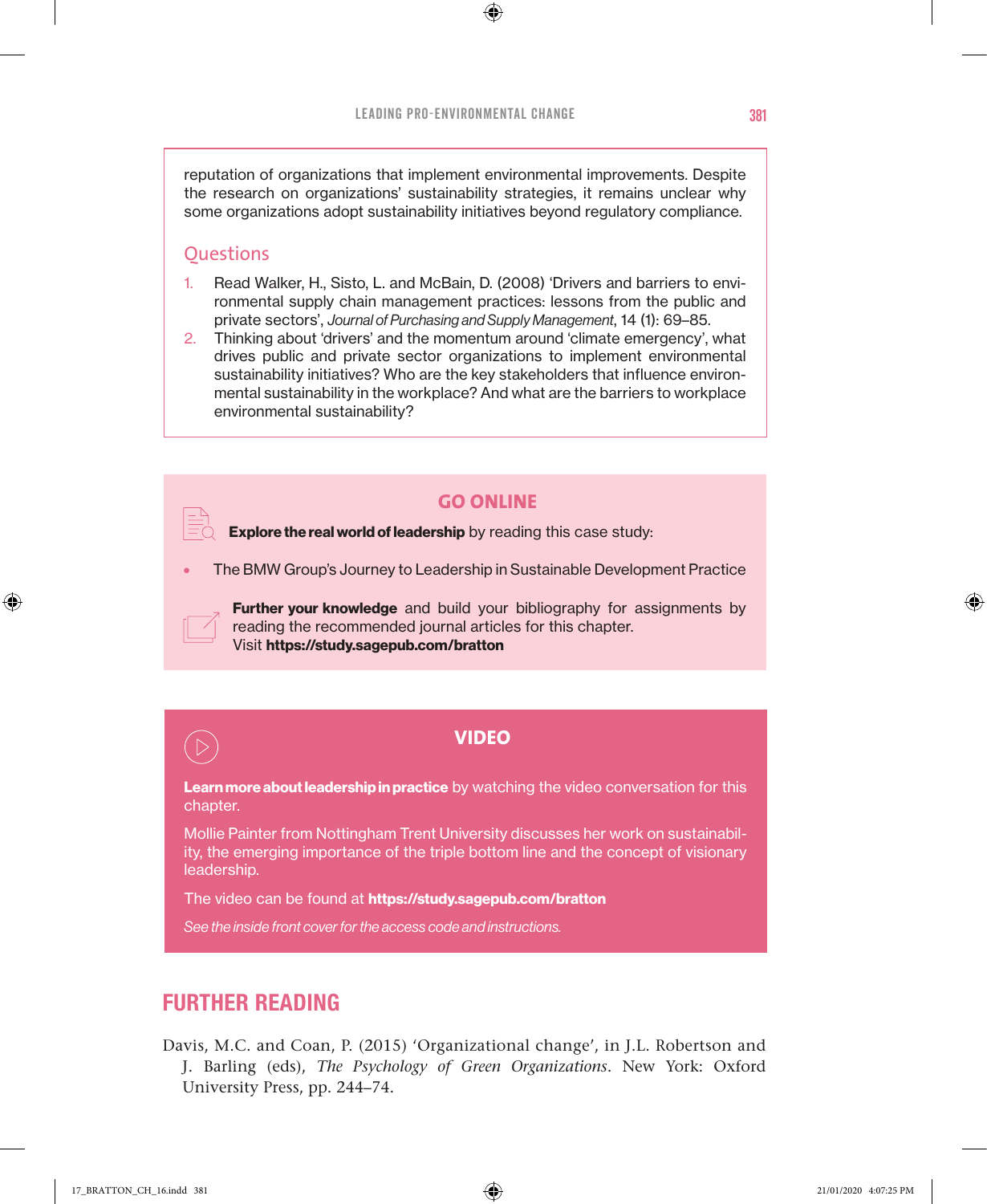⊕

reputation of organizations that implement environmental improvements. Despite the research on organizations' sustainability strategies, it remains unclear why some organizations adopt sustainability initiatives beyond regulatory compliance.

### **Ouestions**

- 1. Read Walker, H., Sisto, L. and McBain, D. (2008) 'Drivers and barriers to environmental supply chain management practices: lessons from the public and private sectors', *Journal of Purchasing and Supply Management*, 14 (1): 69–85.
- 2. Thinking about 'drivers' and the momentum around 'climate emergency', what drives public and private sector organizations to implement environmental sustainability initiatives? Who are the key stakeholders that influence environmental sustainability in the workplace? And what are the barriers to workplace environmental sustainability?

#### **GO ONLINE**

**Explore the real world of leadership** by reading this case study:

• The BMW Group's Journey to Leadership in Sustainable Development Practice

**Further your knowledge** and build your bibliography for assignments by reading the recommended journal articles for this chapter. Visit **https://study.sagepub.com/bratton**



♠

#### **VIDEO**

**Learn more about leadership in practice** by watching the video conversation for this chapter.

Mollie Painter from Nottingham Trent University discusses her work on sustainability, the emerging importance of the triple bottom line and the concept of visionary leadership.

The video can be found at **https://study.sagepub.com/bratton**

*See the inside front cover for the access code and instructions.*

## FURTHER READING

Davis, M.C. and Coan, P. (2015) 'Organizational change', in J.L. Robertson and J. Barling (eds), *The Psychology of Green Organizations*. New York: Oxford University Press, pp. 244–74.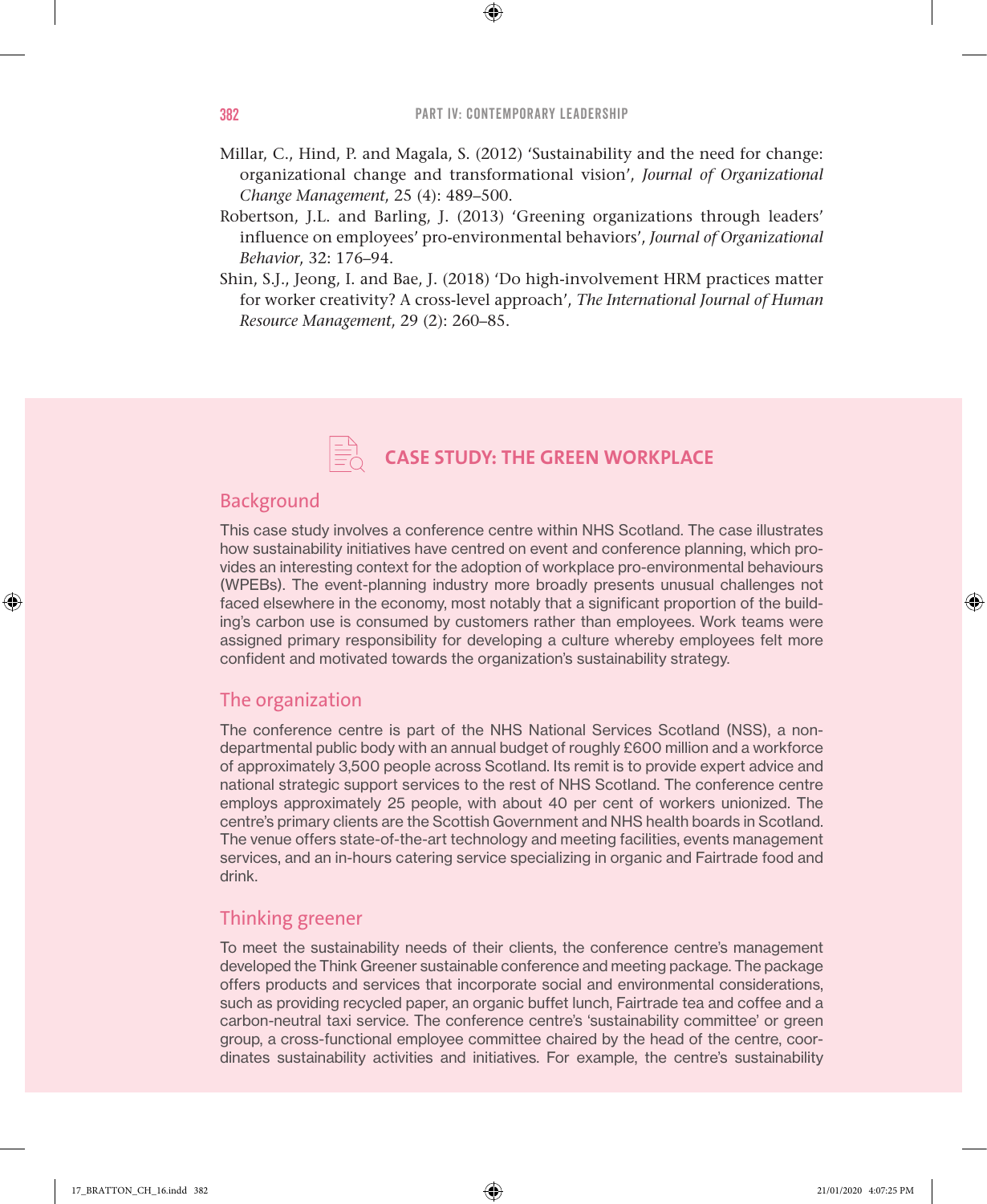⊕

- Millar, C., Hind, P. and Magala, S. (2012) 'Sustainability and the need for change: organizational change and transformational vision', *Journal of Organizational Change Management*, 25 (4): 489–500.
- Robertson, J.L. and Barling, J. (2013) 'Greening organizations through leaders' influence on employees' pro-environmental behaviors', *Journal of Organizational Behavior*, 32: 176–94.
- Shin, S.J., Jeong, I. and Bae, J. (2018) 'Do high-involvement HRM practices matter for worker creativity? A cross-level approach', *The International Journal of Human Resource Management*, 29 (2): 260–85.



## Background

This case study involves a conference centre within NHS Scotland. The case illustrates how sustainability initiatives have centred on event and conference planning, which provides an interesting context for the adoption of workplace pro-environmental behaviours (WPEBs). The event-planning industry more broadly presents unusual challenges not faced elsewhere in the economy, most notably that a significant proportion of the building's carbon use is consumed by customers rather than employees. Work teams were assigned primary responsibility for developing a culture whereby employees felt more confident and motivated towards the organization's sustainability strategy.

#### The organization

The conference centre is part of the NHS National Services Scotland (NSS), a nondepartmental public body with an annual budget of roughly £600 million and a workforce of approximately 3,500 people across Scotland. Its remit is to provide expert advice and national strategic support services to the rest of NHS Scotland. The conference centre employs approximately 25 people, with about 40 per cent of workers unionized. The centre's primary clients are the Scottish Government and NHS health boards in Scotland. The venue offers state-of-the-art technology and meeting facilities, events management services, and an in-hours catering service specializing in organic and Fairtrade food and drink.

### Thinking greener

To meet the sustainability needs of their clients, the conference centre's management developed the Think Greener sustainable conference and meeting package. The package offers products and services that incorporate social and environmental considerations, such as providing recycled paper, an organic buffet lunch, Fairtrade tea and coffee and a carbon-neutral taxi service. The conference centre's 'sustainability committee' or green group, a cross-functional employee committee chaired by the head of the centre, coordinates sustainability activities and initiatives. For example, the centre's sustainability

♠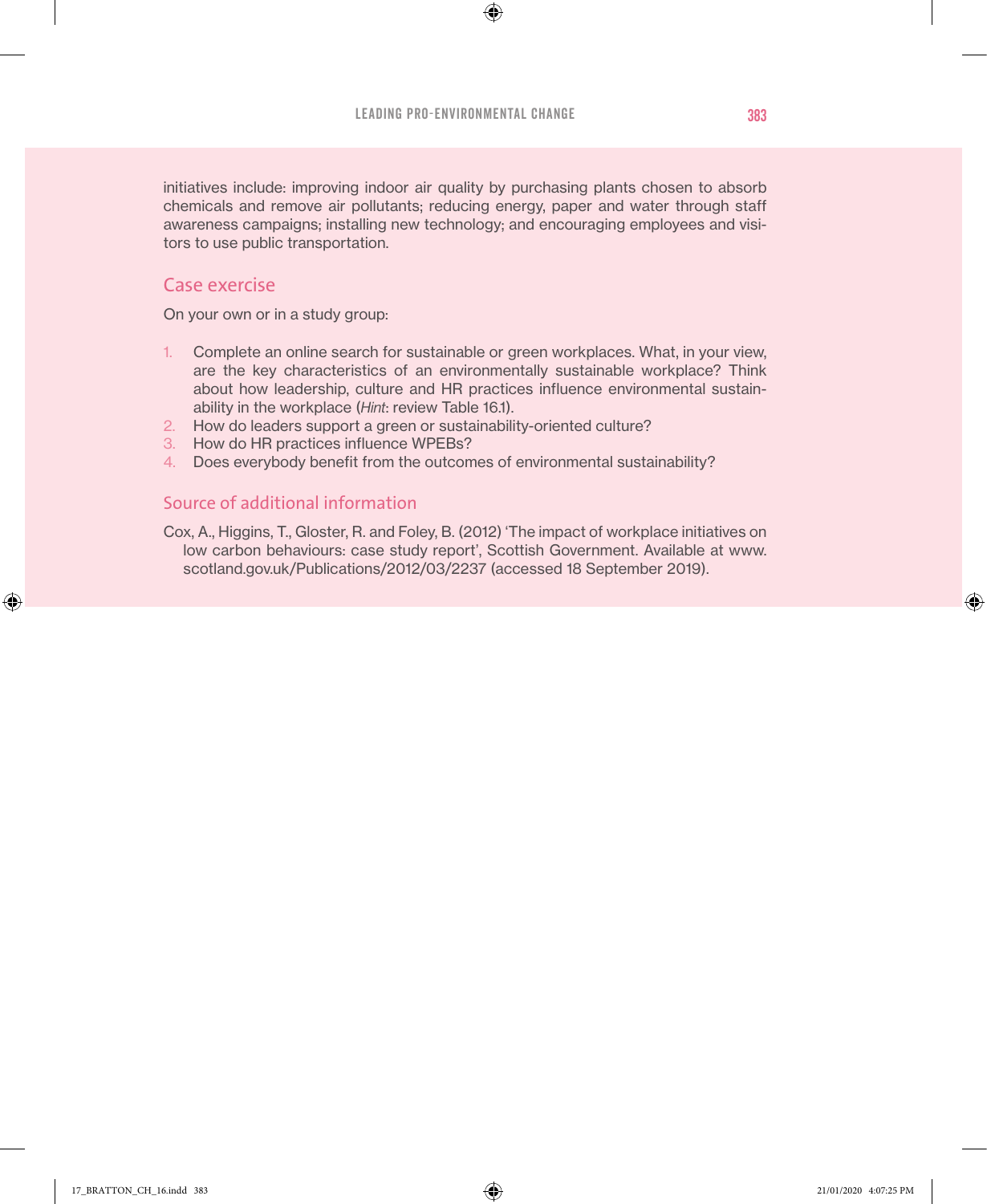♠

initiatives include: improving indoor air quality by purchasing plants chosen to absorb chemicals and remove air pollutants; reducing energy, paper and water through staff awareness campaigns; installing new technology; and encouraging employees and visitors to use public transportation.

## Case exercise

On your own or in a study group:

- 1. Complete an online search for sustainable or green workplaces. What, in your view, are the key characteristics of an environmentally sustainable workplace? Think about how leadership, culture and HR practices influence environmental sustainability in the workplace (*Hint*: review Table 16.1).
- 2. How do leaders support a green or sustainability-oriented culture?
- 3. How do HR practices influence WPEBs?
- 4. Does everybody benefit from the outcomes of environmental sustainability?

#### Source of additional information

Cox, A., Higgins, T., Gloster, R. and Foley, B. (2012) 'The impact of workplace initiatives on low carbon behaviours: case study report', Scottish Government. Available at www. scotland.gov.uk/Publications/2012/03/2237 (accessed 18 September 2019).

♠